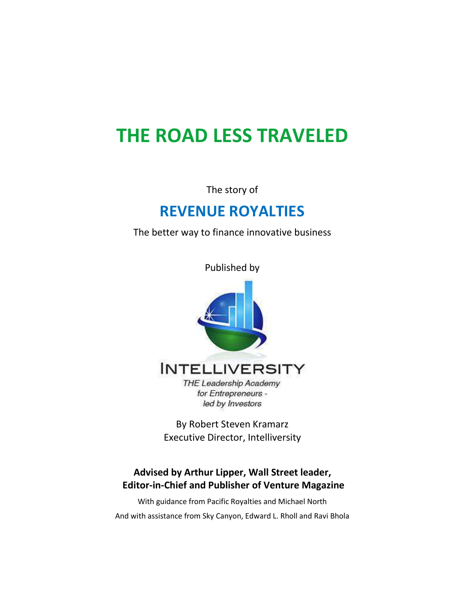# **THE ROAD LESS TRAVELED**

The story of

# **REVENUE ROYALTIES**

The better way to finance innovative business

Published by



**INTELLIVERSITY** 

**THE Leadership Academy** for Entrepreneurs led by Investors

By Robert Steven Kramarz Executive Director, Intelliversity

#### **Advised by Arthur Lipper, Wall Street leader, Editor-in-Chief and Publisher of Venture Magazine**

With guidance from Pacific Royalties and Michael North And with assistance from Sky Canyon, Edward L. Rholl and Ravi Bhola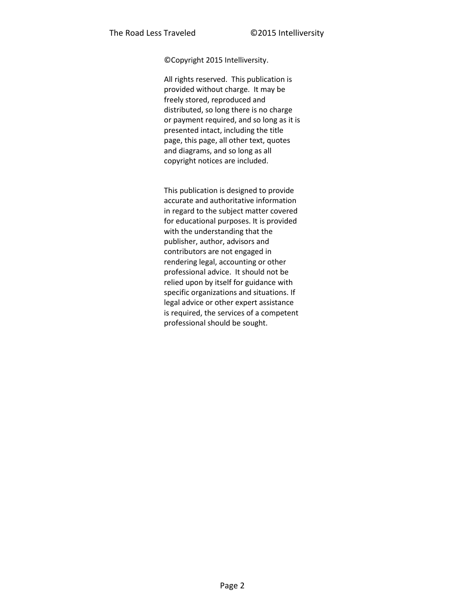©Copyright 2015 Intelliversity.

All rights reserved. This publication is provided without charge. It may be freely stored, reproduced and distributed, so long there is no charge or payment required, and so long as it is presented intact, including the title page, this page, all other text, quotes and diagrams, and so long as all copyright notices are included.

This publication is designed to provide accurate and authoritative information in regard to the subject matter covered for educational purposes. It is provided with the understanding that the publisher, author, advisors and contributors are not engaged in rendering legal, accounting or other professional advice. It should not be relied upon by itself for guidance with specific organizations and situations. If legal advice or other expert assistance is required, the services of a competent professional should be sought.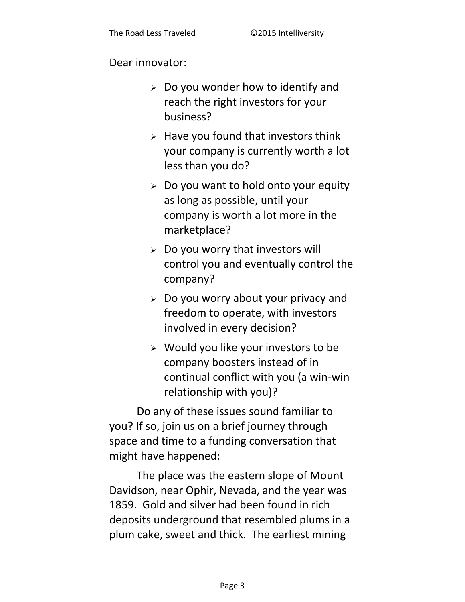#### Dear innovator:

- $\geq$  Do you wonder how to identify and reach the right investors for your business?
- $\triangleright$  Have you found that investors think your company is currently worth a lot less than you do?
- $\geq$  Do you want to hold onto your equity as long as possible, until your company is worth a lot more in the marketplace?
- $\triangleright$  Do you worry that investors will control you and eventually control the company?
- $\geq$  Do you worry about your privacy and freedom to operate, with investors involved in every decision?
- $\triangleright$  Would you like your investors to be company boosters instead of in continual conflict with you (a win-win relationship with you)?

Do any of these issues sound familiar to you? If so, join us on a brief journey through space and time to a funding conversation that might have happened:

The place was the eastern slope of Mount Davidson, near Ophir, Nevada, and the year was 1859. Gold and silver had been found in rich deposits underground that resembled plums in a plum cake, sweet and thick. The earliest mining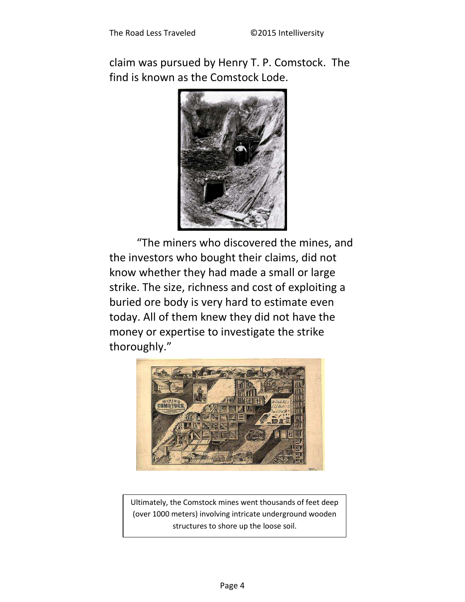claim was pursued by Henry T. P. Comstock. The find is known as the Comstock Lode.



"The miners who discovered the mines, and the investors who bought their claims, did not know whether they had made a small or large strike. The size, richness and cost of exploiting a buried ore body is very hard to estimate even today. All of them knew they did not have the money or expertise to investigate the strike thoroughly."



Ultimately, the Comstock mines went thousands of feet deep (over 1000 meters) involving intricate underground wooden structures to shore up the loose soil.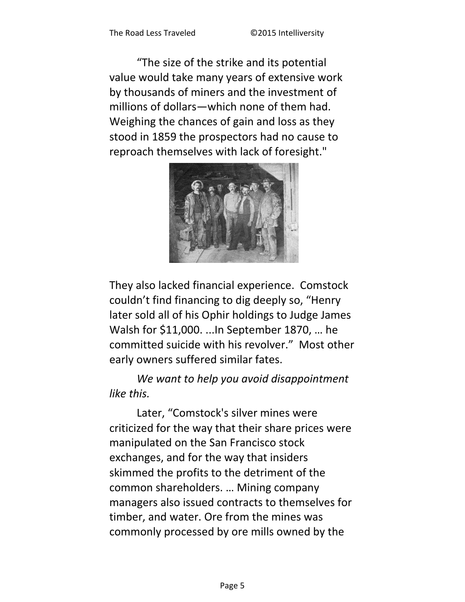"The size of the strike and its potential value would take many years of extensive work by thousands of miners and the investment of millions of dollars-which none of them had. Weighing the chances of gain and loss as they stood in 1859 the prospectors had no cause to reproach themselves with lack of foresight."



They also lacked financial experience. Comstock couldn't find financing to dig deeply so, "Henry later sold all of his Ophir holdings to Judge James Walsh for \$11,000. ... In September 1870, ... he committed suicide with his revolver." Most other early owners suffered similar fates.

We want to help you avoid disappointment like this.

Later, "Comstock's silver mines were criticized for the way that their share prices were manipulated on the San Francisco stock exchanges, and for the way that insiders skimmed the profits to the detriment of the common shareholders. ... Mining company managers also issued contracts to themselves for timber, and water. Ore from the mines was commonly processed by ore mills owned by the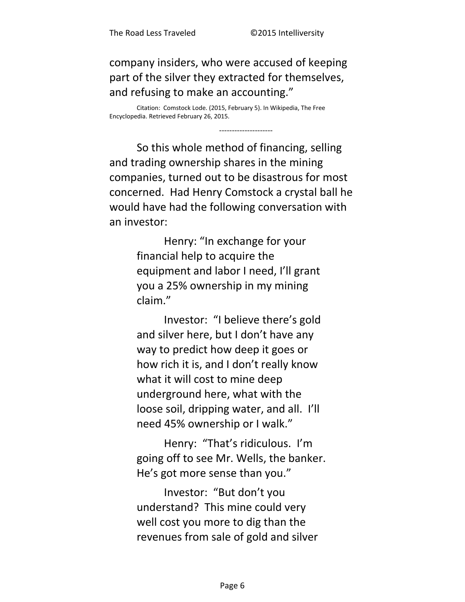company insiders, who were accused of keeping part of the silver they extracted for themselves, and refusing to make an accounting."

Citation: Comstock Lode. (2015, February 5). In Wikipedia, The Free Encyclopedia. Retrieved February 26, 2015.

So this whole method of financing, selling and trading ownership shares in the mining companies, turned out to be disastrous for most concerned. Had Henry Comstock a crystal ball he would have had the following conversation with an investor:

> Henry: "In exchange for your financial help to acquire the equipment and labor I need, I'll grant you a 25% ownership in my mining claim."

> Investor: "I believe there's gold and silver here, but I don't have any way to predict how deep it goes or how rich it is, and I don't really know what it will cost to mine deep underground here, what with the loose soil, dripping water, and all. I'll need 45% ownership or I walk."

Henry: "That's ridiculous. I'm going off to see Mr. Wells, the banker. He's got more sense than you."

Investor: "But don't you understand? This mine could very well cost you more to dig than the revenues from sale of gold and silver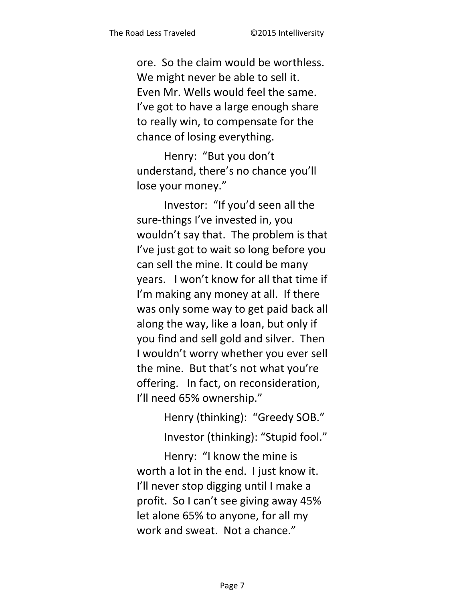ore. So the claim would be worthless. We might never be able to sell it. Even Mr. Wells would feel the same. I've got to have a large enough share to really win, to compensate for the chance of losing everything.

Henry: "But you don't understand, there's no chance you'll lose your money."

Investor: "If you'd seen all the sure-things I've invested in, you wouldn't say that. The problem is that I've just got to wait so long before you can sell the mine. It could be many years. I won't know for all that time if I'm making any money at all. If there was only some way to get paid back all along the way, like a loan, but only if you find and sell gold and silver. Then I wouldn't worry whether you ever sell the mine. But that's not what you're offering. In fact, on reconsideration, I'll need 65% ownership."

> Henry (thinking): "Greedy SOB." Investor (thinking): "Stupid fool."

Henry: "I know the mine is worth a lot in the end. I just know it. I'll never stop digging until I make a profit. So I can't see giving away 45% let alone 65% to anyone, for all my work and sweat. Not a chance."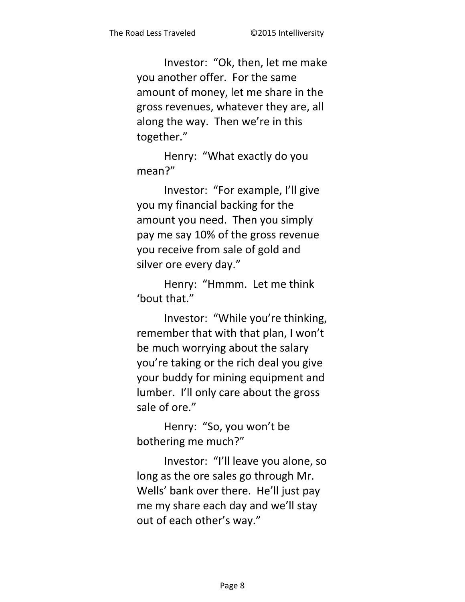Investor: "Ok, then, let me make you another offer. For the same amount of money, let me share in the gross revenues, whatever they are, all along the way. Then we're in this together."

Henry: "What exactly do you mean?"

Investor: "For example, I'll give you my financial backing for the amount you need. Then you simply pay me say 10% of the gross revenue you receive from sale of gold and silver ore every day."

Henry: "Hmmm. Let me think 'bout that."

Investor: "While you're thinking, remember that with that plan, I won't be much worrying about the salary you're taking or the rich deal you give your buddy for mining equipment and lumber. I'll only care about the gross sale of ore."

Henry: "So, you won't be bothering me much?"

Investor: "I'll leave you alone, so long as the ore sales go through Mr. Wells' bank over there. He'll just pay me my share each day and we'll stay out of each other's way."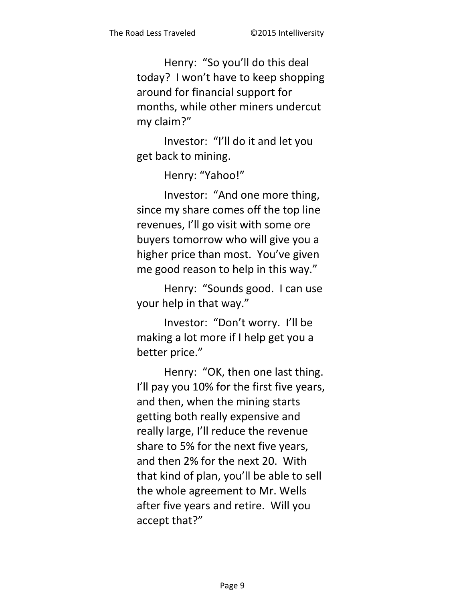Henry: "So you'll do this deal today? I won't have to keep shopping around for financial support for months, while other miners undercut my claim?"

Investor: "I'll do it and let you get back to mining.

Henry: "Yahoo!"

Investor: "And one more thing, since my share comes off the top line revenues, I'll go visit with some ore buyers tomorrow who will give you a higher price than most. You've given me good reason to help in this way."

Henry: "Sounds good. I can use your help in that way."

Investor: "Don't worry. I'll be making a lot more if I help get you a better price."

Henry: "OK, then one last thing. I'll pay you 10% for the first five years, and then, when the mining starts getting both really expensive and really large, I'll reduce the revenue share to 5% for the next five years, and then 2% for the next 20. With that kind of plan, you'll be able to sell the whole agreement to Mr. Wells after five years and retire. Will you accept that?"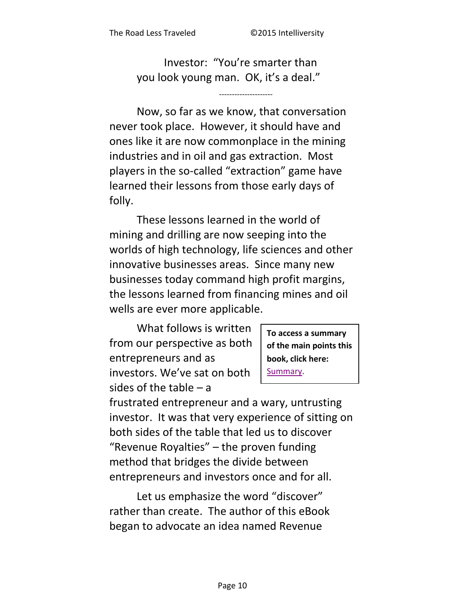Investor: "You're smarter than you look young man. OK, it's a deal."

Now, so far as we know, that conversation never took place. However, it should have and ones like it are now commonplace in the mining industries and in oil and gas extraction. Most players in the so-called "extraction" game have learned their lessons from those early days of folly.

These lessons learned in the world of mining and drilling are now seeping into the worlds of high technology, life sciences and other innovative businesses areas. Since many new businesses today command high profit margins, the lessons learned from financing mines and oil wells are ever more applicable.

What follows is written from our perspective as both entrepreneurs and as investors. We've sat on both sides of the table  $-$  a

To access a summary of the main points this book, click here: Summary.

frustrated entrepreneur and a wary, untrusting investor. It was that very experience of sitting on both sides of the table that led us to discover "Revenue Royalties" - the proven funding method that bridges the divide between entrepreneurs and investors once and for all.

Let us emphasize the word "discover" rather than create. The author of this eBook began to advocate an idea named Revenue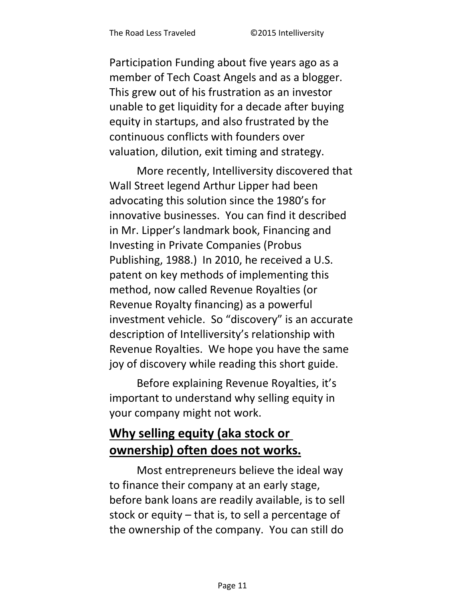Participation Funding about five years ago as a member of Tech Coast Angels and as a blogger. This grew out of his frustration as an investor unable to get liquidity for a decade after buying equity in startups, and also frustrated by the continuous conflicts with founders over valuation, dilution, exit timing and strategy.

More recently, Intelliversity discovered that Wall Street legend Arthur Lipper had been advocating this solution since the 1980's for innovative businesses. You can find it described in Mr. Lipper's landmark book, Financing and Investing in Private Companies (Probus Publishing, 1988.) In 2010, he received a U.S. patent on key methods of implementing this method, now called Revenue Royalties (or Revenue Royalty financing) as a powerful investment vehicle. So "discovery" is an accurate description of Intelliversity's relationship with Revenue Royalties. We hope you have the same joy of discovery while reading this short guide.

Before explaining Revenue Royalties, it's important to understand why selling equity in your company might not work.

# **Why selling equity (aka stock or ownership) often does not works.**

Most entrepreneurs believe the ideal way to finance their company at an early stage, before bank loans are readily available, is to sell stock or equity – that is, to sell a percentage of the ownership of the company. You can still do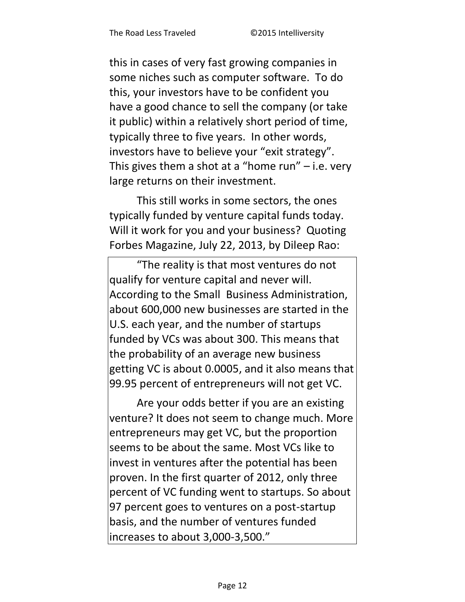this in cases of very fast growing companies in some niches such as computer software. To do this, your investors have to be confident you have a good chance to sell the company (or take it public) within a relatively short period of time, typically three to five years. In other words, investors have to believe your "exit strategy". This gives them a shot at a "home run"  $-$  i.e. very large returns on their investment.

This still works in some sectors, the ones typically funded by venture capital funds today. Will it work for you and your business? Quoting Forbes Magazine, July 22, 2013, by Dileep Rao:

"The reality is that most ventures do not qualify for venture capital and never will. According to the Small [Business](http://www.forbes.com/business/) Administration, about 600,000 new businesses are started in the U.S. each year, and the number of startups funded by [VCs was about 300.](http://https/www.pwcmoneytree.com/MTPublic/ns/nav.jsp?page=historical) This means that the probability of an average new business getting VC is about 0.0005, and it also means that 99.95 percent of entrepreneurs will not get VC.

Are your odds better if you are an existing venture? It does not seem to change much. More entrepreneurs may get VC, but the proportion seems to be about the same. Most VCs like to invest in ventures after the potential has been proven. In the first quarter of 2012, only three percent of VC funding went to startups. So about 97 percent goes to ventures on a post-startup basis, and the number of ventures funded increases to about 3,000-3,500."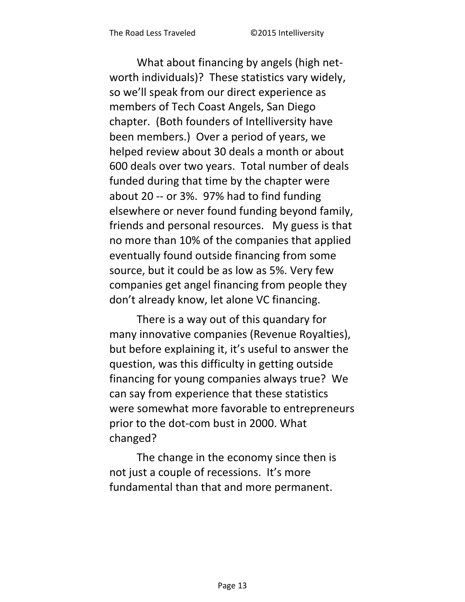What about financing by angels (high networth individuals)? These statistics vary widely, so we'll speak from our direct experience as members of Tech Coast Angels, San Diego chapter. (Both founders of Intelliversity have been members.) Over a period of years, we helped review about 30 deals a month or about 600 deals over two years. Total number of deals funded during that time by the chapter were about 20 -- or 3%. 97% had to find funding elsewhere or never found funding beyond family, friends and personal resources. My guess is that no more than 10% of the companies that applied eventually found outside financing from some source, but it could be as low as 5%. Very few companies get angel financing from people they don't already know, let alone VC financing.

There is a way out of this quandary for many innovative companies (Revenue Royalties), but before explaining it, it's useful to answer the question, was this difficulty in getting outside financing for young companies always true? We can say from experience that these statistics were somewhat more favorable to entrepreneurs prior to the dot-com bust in 2000. What changed?

The change in the economy since then is not just a couple of recessions. It's more fundamental than that and more permanent.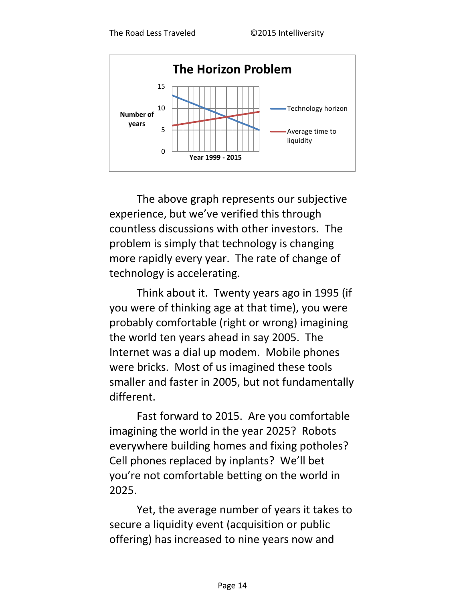

The above graph represents our subjective experience, but we've verified this through countless discussions with other investors. The problem is simply that technology is changing more rapidly every year. The rate of change of technology is accelerating.

Think about it. Twenty years ago in 1995 (if you were of thinking age at that time), you were probably comfortable (right or wrong) imagining the world ten years ahead in say 2005. The Internet was a dial up modem. Mobile phones were bricks. Most of us imagined these tools smaller and faster in 2005, but not fundamentally different.

Fast forward to 2015. Are you comfortable imagining the world in the year 2025? Robots everywhere building homes and fixing potholes? Cell phones replaced by inplants? We'll bet you're not comfortable betting on the world in 2025.

Yet, the average number of years it takes to secure a liquidity event (acquisition or public offering) has increased to nine years now and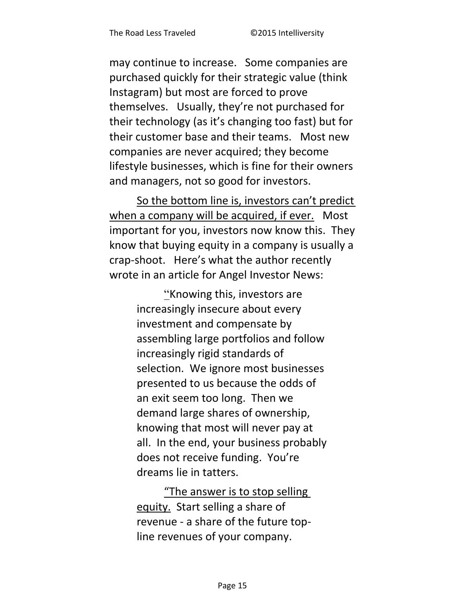may continue to increase. Some companies are purchased quickly for their strategic value (think Instagram) but most are forced to prove themselves. Usually, they're not purchased for their technology (as it's changing too fast) but for their customer base and their teams. Most new companies are never acquired; they become lifestyle businesses, which is fine for their owners and managers, not so good for investors.

So the bottom line is, investors can't predict when a company will be acquired, if ever. Most important for you, investors now know this. They know that buying equity in a company is usually a crap-shoot. Here's what the author recently wrote in an article for Angel Investor News:

> "Knowing this, investors are increasingly insecure about every investment and compensate by assembling large portfolios and follow increasingly rigid standards of selection. We ignore most businesses presented to us because the odds of an exit seem too long. Then we demand large shares of ownership, knowing that most will never pay at all. In the end, your business probably does not receive funding. You're dreams lie in tatters.

"The answer is to stop selling equity. Start selling a share of revenue - a share of the future topline revenues of your company.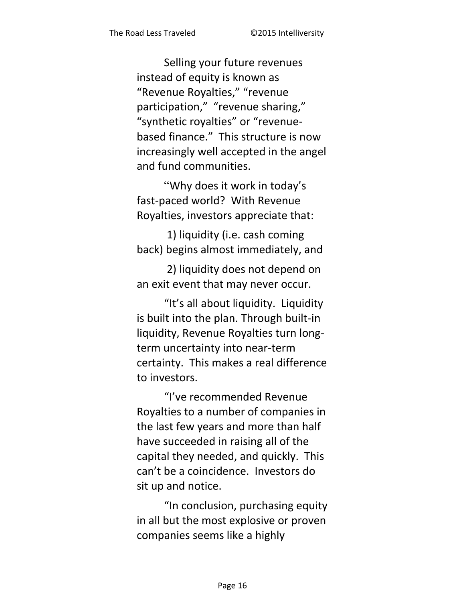Selling your future revenues instead of equity is known as "Revenue Royalties," "revenue participation," "revenue sharing," "synthetic royalties" or "revenuebased finance." This structure is now increasingly well accepted in the angel and fund communities.

"Why does it work in today's fast-paced world? With Revenue Royalties, investors appreciate that:

1) liquidity (i.e. cash coming back) begins almost immediately, and

2) liquidity does not depend on an exit event that may never occur.

"It's all about liquidity. Liquidity is built into the plan. Through built-in liquidity, Revenue Royalties turn longterm uncertainty into near-term certainty. This makes a real difference to investors.

"I've recommended Revenue Royalties to a number of companies in the last few years and more than half have succeeded in raising all of the capital they needed, and quickly. This can't be a coincidence. Investors do sit up and notice.

"In conclusion, purchasing equity in all but the most explosive or proven companies seems like a highly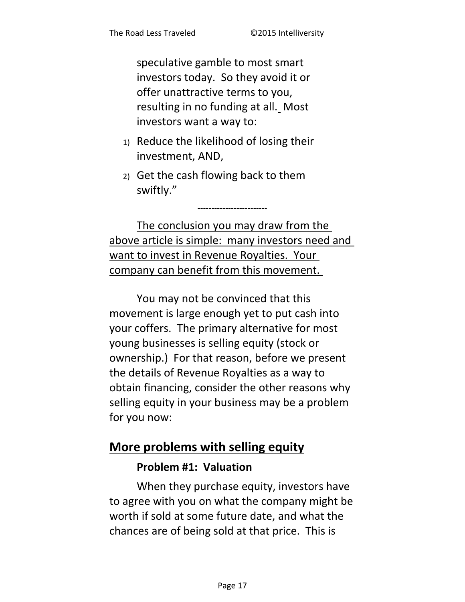speculative gamble to most smart investors today. So they avoid it or offer unattractive terms to you, resulting in no funding at all. Most investors want a way to:

- 1) Reduce the likelihood of losing their investment, AND,
- 2) Get the cash flowing back to them swiftly."

The conclusion you may draw from the above article is simple: many investors need and want to invest in Revenue Royalties. Your company can benefit from this movement.

-------------------------

You may not be convinced that this movement is large enough yet to put cash into your coffers. The primary alternative for most young businesses is selling equity (stock or ownership.) For that reason, before we present the details of Revenue Royalties as a way to obtain financing, consider the other reasons why selling equity in your business may be a problem for you now:

### **More problems with selling equity**

#### **Problem #1: Valuation**

When they purchase equity, investors have to agree with you on what the company might be worth if sold at some future date, and what the chances are of being sold at that price. This is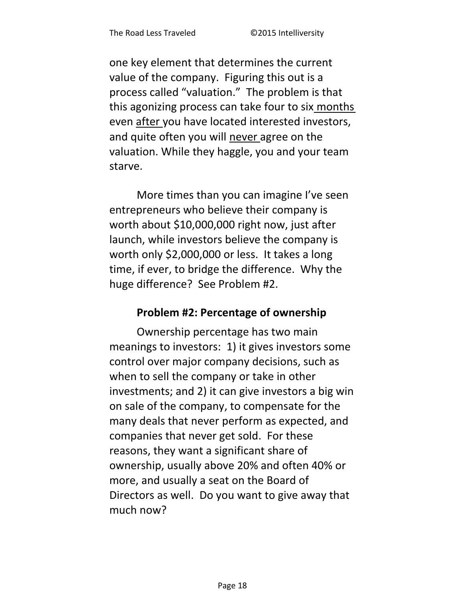one key element that determines the current value of the company. Figuring this out is a process called "valuation." The problem is that this agonizing process can take four to six months even after you have located interested investors. and quite often you will never agree on the valuation. While they haggle, you and your team starve.

More times than you can imagine I've seen entrepreneurs who believe their company is worth about \$10,000,000 right now, just after launch, while investors believe the company is worth only \$2,000,000 or less. It takes a long time, if ever, to bridge the difference. Why the huge difference? See Problem #2.

#### Problem #2: Percentage of ownership

Ownership percentage has two main meanings to investors: 1) it gives investors some control over major company decisions, such as when to sell the company or take in other investments; and 2) it can give investors a big win on sale of the company, to compensate for the many deals that never perform as expected, and companies that never get sold. For these reasons, they want a significant share of ownership, usually above 20% and often 40% or more, and usually a seat on the Board of Directors as well. Do you want to give away that much now?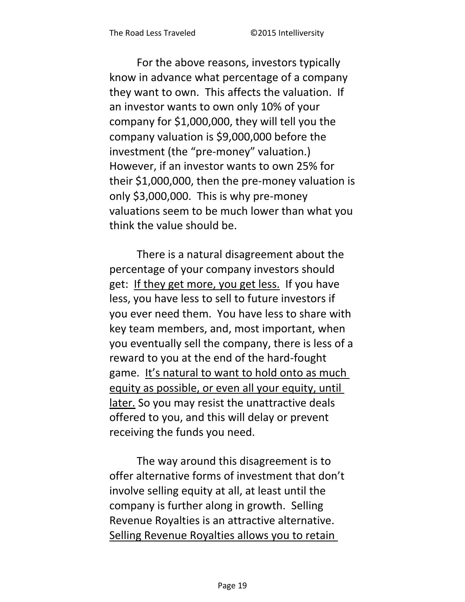For the above reasons, investors typically know in advance what percentage of a company they want to own. This affects the valuation. If an investor wants to own only 10% of your company for \$1,000,000, they will tell you the company valuation is \$9,000,000 before the investment (the "pre-money" valuation.) However, if an investor wants to own 25% for their \$1,000,000, then the pre-money valuation is only \$3,000,000. This is why pre-money valuations seem to be much lower than what you think the value should be.

There is a natural disagreement about the percentage of your company investors should get: If they get more, you get less. If you have less, you have less to sell to future investors if you ever need them. You have less to share with key team members, and, most important, when you eventually sell the company, there is less of a reward to you at the end of the hard-fought game. It's natural to want to hold onto as much equity as possible, or even all your equity, until later. So you may resist the unattractive deals offered to you, and this will delay or prevent receiving the funds you need.

The way around this disagreement is to offer alternative forms of investment that don't involve selling equity at all, at least until the company is further along in growth. Selling Revenue Royalties is an attractive alternative. Selling Revenue Royalties allows you to retain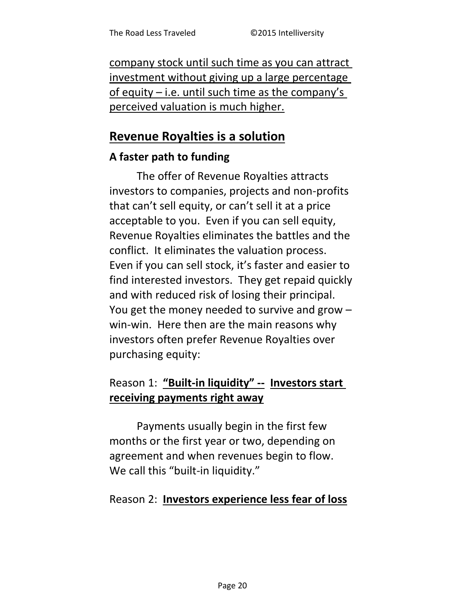company stock until such time as you can attract investment without giving up a large percentage of equity  $-$  i.e. until such time as the company's perceived valuation is much higher.

### **Revenue Royalties is a solution**

#### A faster path to funding

The offer of Revenue Royalties attracts investors to companies, projects and non-profits that can't sell equity, or can't sell it at a price acceptable to you. Even if you can sell equity, Revenue Royalties eliminates the battles and the conflict. It eliminates the valuation process. Even if you can sell stock, it's faster and easier to find interested investors. They get repaid quickly and with reduced risk of losing their principal. You get the money needed to survive and grow win-win. Here then are the main reasons why investors often prefer Revenue Royalties over purchasing equity:

# Reason 1: "Built-in liquidity" -- Investors start receiving payments right away

Payments usually begin in the first few months or the first year or two, depending on agreement and when revenues begin to flow. We call this "built-in liquidity."

#### Reason 2: Investors experience less fear of loss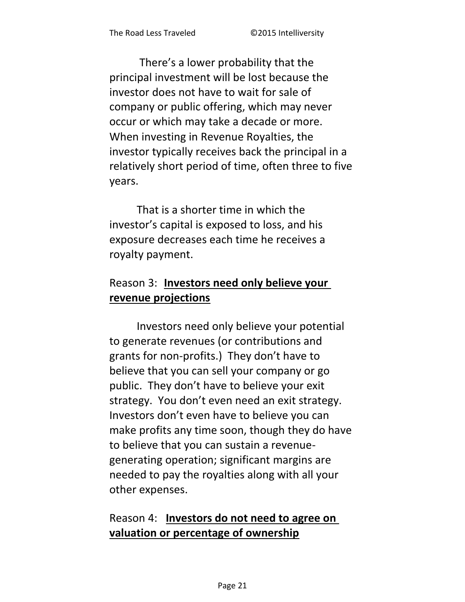There's a lower probability that the principal investment will be lost because the investor does not have to wait for sale of company or public offering, which may never occur or which may take a decade or more. When investing in Revenue Royalties, the investor typically receives back the principal in a relatively short period of time, often three to five years.

That is a shorter time in which the investor's capital is exposed to loss, and his exposure decreases each time he receives a royalty payment.

# Reason 3: Investors need only believe your revenue projections

Investors need only believe your potential to generate revenues (or contributions and grants for non-profits.) They don't have to believe that you can sell your company or go public. They don't have to believe your exit strategy. You don't even need an exit strategy. Investors don't even have to believe you can make profits any time soon, though they do have to believe that you can sustain a revenuegenerating operation; significant margins are needed to pay the royalties along with all your other expenses.

### Reason 4: Investors do not need to agree on valuation or percentage of ownership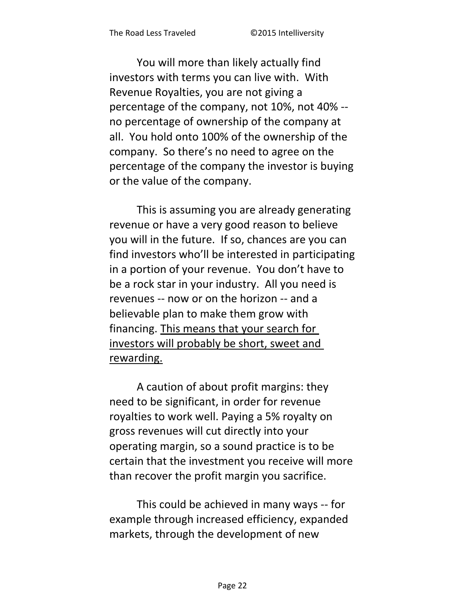You will more than likely actually find investors with terms you can live with. With Revenue Royalties, you are not giving a percentage of the company, not 10%, not 40% - no percentage of ownership of the company at all. You hold onto 100% of the ownership of the company. So there's no need to agree on the percentage of the company the investor is buying or the value of the company.

This is assuming you are already generating revenue or have a very good reason to believe you will in the future. If so, chances are you can find investors who'll be interested in participating in a portion of your revenue. You don't have to be a rock star in your industry. All you need is revenues -- now or on the horizon -- and a believable plan to make them grow with financing. This means that your search for investors will probably be short, sweet and rewarding.

A caution of about profit margins: they need to be significant, in order for revenue royalties to work well. Paying a 5% royalty on gross revenues will cut directly into your operating margin, so a sound practice is to be certain that the investment you receive will more than recover the profit margin you sacrifice.

This could be achieved in many ways -- for example through increased efficiency, expanded markets, through the development of new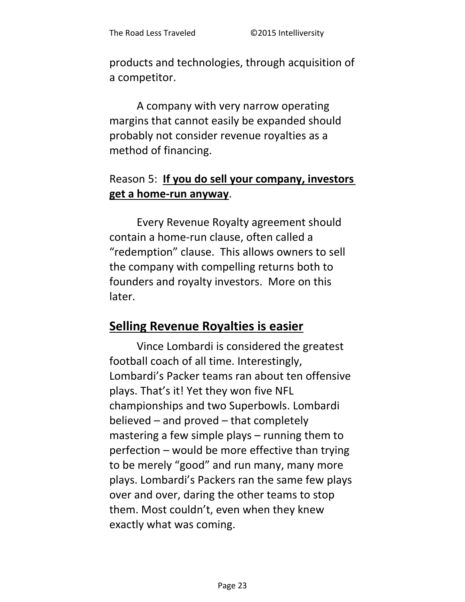products and technologies, through acquisition of a competitor.

A company with very narrow operating margins that cannot easily be expanded should probably not consider revenue royalties as a method of financing.

### Reason 5: If you do sell your company, investors get a home-run anyway.

Every Revenue Royalty agreement should contain a home-run clause, often called a "redemption" clause. This allows owners to sell the company with compelling returns both to founders and royalty investors. More on this later.

# **Selling Revenue Royalties is easier**

Vince Lombardi is considered the greatest football coach of all time. Interestingly, Lombardi's Packer teams ran about ten offensive plays. That's it! Yet they won five NFL championships and two Superbowls. Lombardi believed – and proved – that completely mastering a few simple plays – running them to perfection - would be more effective than trying to be merely "good" and run many, many more plays. Lombardi's Packers ran the same few plays over and over, daring the other teams to stop them. Most couldn't, even when they knew exactly what was coming.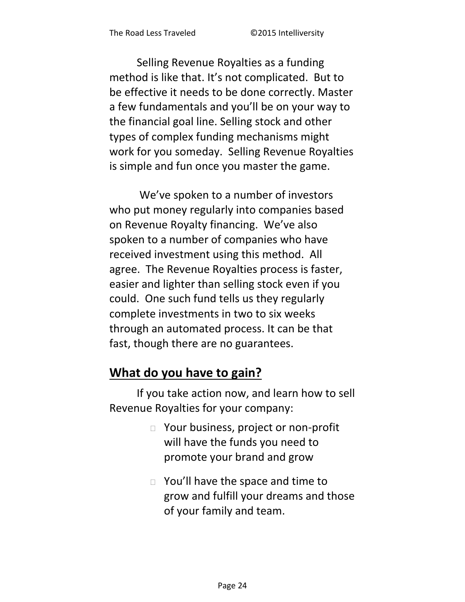Selling Revenue Royalties as a funding method is like that. It's not complicated. But to be effective it needs to be done correctly. Master a few fundamentals and you'll be on your way to the financial goal line. Selling stock and other types of complex funding mechanisms might work for you someday. Selling Revenue Royalties is simple and fun once you master the game.

We've spoken to a number of investors who put money regularly into companies based on Revenue Royalty financing. We've also spoken to a number of companies who have received investment using this method. All agree. The Revenue Royalties process is faster, easier and lighter than selling stock even if you could. One such fund tells us they regularly complete investments in two to six weeks through an automated process. It can be that fast, though there are no guarantees.

# What do you have to gain?

If you take action now, and learn how to sell Revenue Royalties for your company:

- □ Your business, project or non-profit will have the funds you need to promote your brand and grow
- $\Box$  You'll have the space and time to grow and fulfill your dreams and those of your family and team.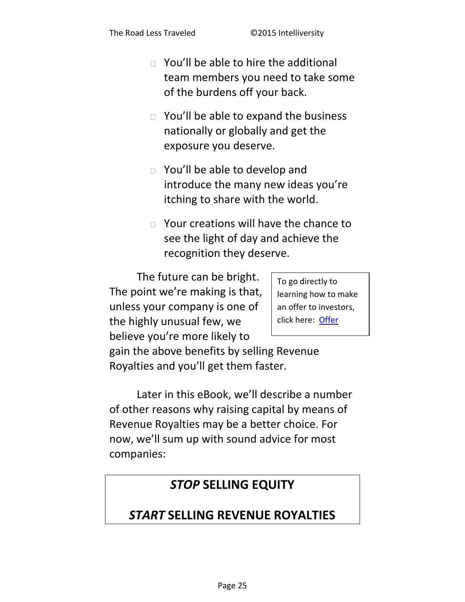- $\Box$  You'll be able to hire the additional team members you need to take some of the burdens off your back.
- $\Box$  You'll be able to expand the business nationally or globally and get the exposure you deserve.
- □ You'll be able to develop and introduce the many new ideas you're itching to share with the world.
- $\Box$  Your creations will have the chance to see the light of day and achieve the recognition they deserve.

The future can be bright. The point we're making is that, unless your company is one of the highly unusual few, we believe you're more likely to

To go directly to learning how to make an offer to investors, click here: Offer

gain the above benefits by selling Revenue Royalties and you'll get them faster.

Later in this eBook, we'll describe a number of other reasons why raising capital by means of Revenue Royalties may be a better choice. For now, we'll sum up with sound advice for most companies:

# **STOP SELLING EQUITY**

# **START SELLING REVENUE ROYALTIES**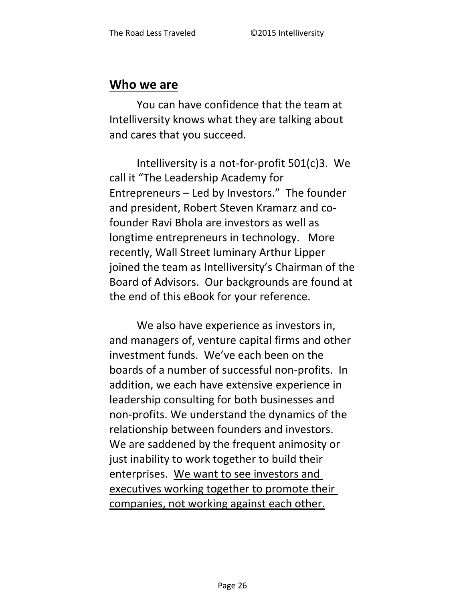#### Who we are

You can have confidence that the team at Intelliversity knows what they are talking about and cares that you succeed.

Intelliversity is a not-for-profit 501(c)3. We call it "The Leadership Academy for Entrepreneurs - Led by Investors." The founder and president, Robert Steven Kramarz and cofounder Ravi Bhola are investors as well as longtime entrepreneurs in technology. More recently, Wall Street luminary Arthur Lipper joined the team as Intelliversity's Chairman of the Board of Advisors. Our backgrounds are found at the end of this eBook for your reference.

We also have experience as investors in, and managers of, venture capital firms and other investment funds. We've each been on the boards of a number of successful non-profits. In addition, we each have extensive experience in leadership consulting for both businesses and non-profits. We understand the dynamics of the relationship between founders and investors. We are saddened by the frequent animosity or just inability to work together to build their enterprises. We want to see investors and executives working together to promote their companies, not working against each other.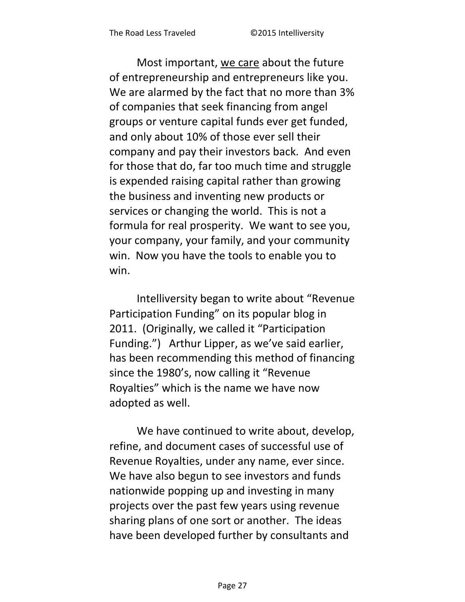Most important, we care about the future of entrepreneurship and entrepreneurs like you. We are alarmed by the fact that no more than 3% of companies that seek financing from angel groups or venture capital funds ever get funded, and only about 10% of those ever sell their company and pay their investors back. And even for those that do, far too much time and struggle is expended raising capital rather than growing the business and inventing new products or services or changing the world. This is not a formula for real prosperity. We want to see you, your company, your family, and your community win. Now you have the tools to enable you to win.

Intelliversity began to write about "Revenue Participation Funding" on its popular blog in 2011. (Originally, we called it "Participation Funding.") Arthur Lipper, as we've said earlier, has been recommending this method of financing since the 1980's, now calling it "Revenue Royalties" which is the name we have now adopted as well.

We have continued to write about, develop, refine, and document cases of successful use of Revenue Royalties, under any name, ever since. We have also begun to see investors and funds nationwide popping up and investing in many projects over the past few years using revenue sharing plans of one sort or another. The ideas have been developed further by consultants and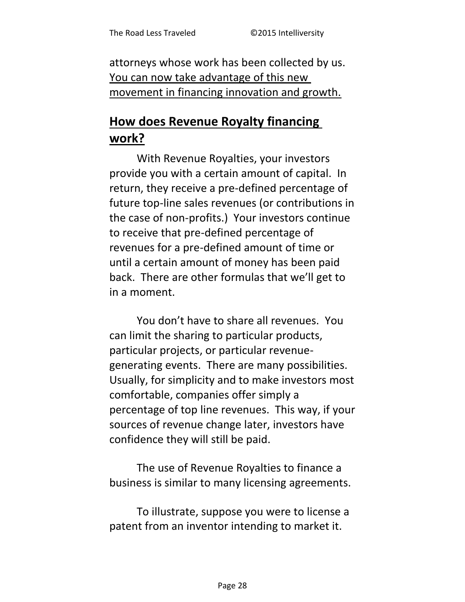attorneys whose work has been collected by us. You can now take advantage of this new movement in financing innovation and growth.

# **How does Revenue Royalty financing work?**

With Revenue Royalties, your investors provide you with a certain amount of capital. In return, they receive a pre-defined percentage of future top-line sales revenues (or contributions in the case of non-profits.) Your investors continue to receive that pre-defined percentage of revenues for a pre-defined amount of time or until a certain amount of money has been paid back. There are other formulas that we'll get to in a moment.

You don't have to share all revenues. You can limit the sharing to particular products, particular projects, or particular revenuegenerating events. There are many possibilities. Usually, for simplicity and to make investors most comfortable, companies offer simply a percentage of top line revenues. This way, if your sources of revenue change later, investors have confidence they will still be paid.

The use of Revenue Royalties to finance a business is similar to many licensing agreements.

To illustrate, suppose you were to license a patent from an inventor intending to market it.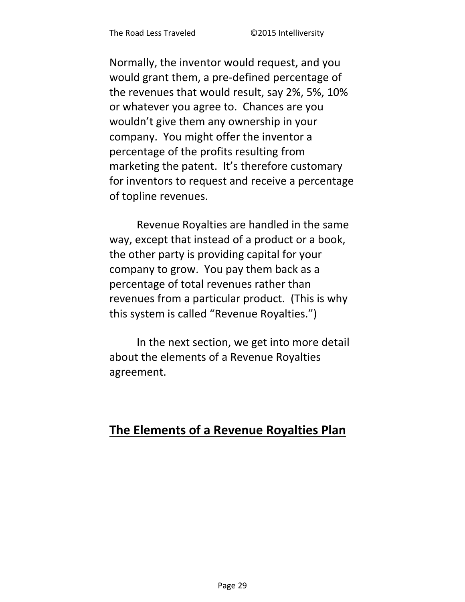Normally, the inventor would request, and you would grant them, a pre-defined percentage of the revenues that would result, say 2%, 5%, 10% or whatever you agree to. Chances are you wouldn't give them any ownership in your company. You might offer the inventor a percentage of the profits resulting from marketing the patent. It's therefore customary for inventors to request and receive a percentage of topline revenues.

Revenue Royalties are handled in the same way, except that instead of a product or a book, the other party is providing capital for your company to grow. You pay them back as a percentage of total revenues rather than revenues from a particular product. (This is why this system is called "Revenue Royalties.")

In the next section, we get into more detail about the elements of a Revenue Royalties agreement.

### The Elements of a Revenue Royalties Plan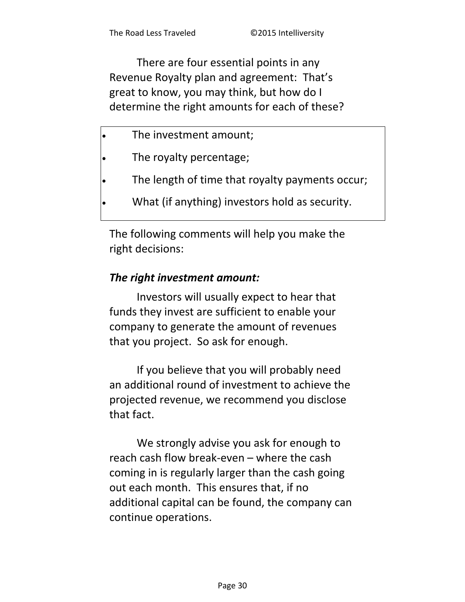There are four essential points in any Revenue Royalty plan and agreement: That's great to know, you may think, but how do I determine the right amounts for each of these?

- The investment amount;
- The royalty percentage;
- The length of time that royalty payments occur;
- What (if anything) investors hold as security.

The following comments will help you make the right decisions:

#### *The right investment amount:*

Investors will usually expect to hear that funds they invest are sufficient to enable your company to generate the amount of revenues that you project. So ask for enough.

If you believe that you will probably need an additional round of investment to achieve the projected revenue, we recommend you disclose that fact.

We strongly advise you ask for enough to reach cash flow break-even – where the cash coming in is regularly larger than the cash going out each month. This ensures that, if no additional capital can be found, the company can continue operations.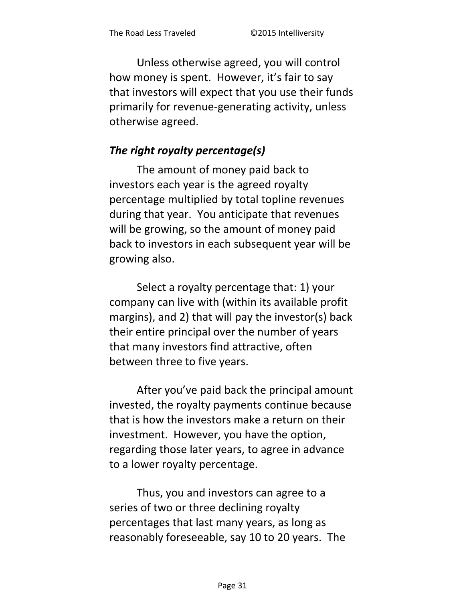Unless otherwise agreed, you will control how money is spent. However, it's fair to say that investors will expect that you use their funds primarily for revenue-generating activity, unless otherwise agreed.

### *The right royalty percentage(s)*

The amount of money paid back to investors each year is the agreed royalty percentage multiplied by total topline revenues during that year. You anticipate that revenues will be growing, so the amount of money paid back to investors in each subsequent year will be growing also.

Select a royalty percentage that: 1) your company can live with (within its available profit margins), and 2) that will pay the investor(s) back their entire principal over the number of years that many investors find attractive, often between three to five years.

After you've paid back the principal amount invested, the royalty payments continue because that is how the investors make a return on their investment. However, you have the option, regarding those later years, to agree in advance to a lower royalty percentage.

Thus, you and investors can agree to a series of two or three declining royalty percentages that last many years, as long as reasonably foreseeable, say 10 to 20 years. The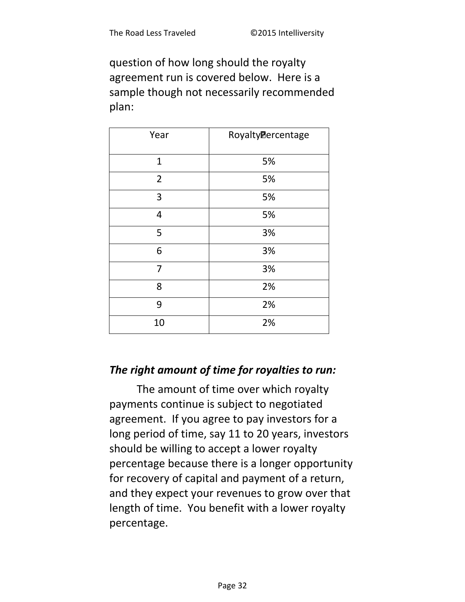question of how long should the royalty agreement run is covered below. Here is a sample though not necessarily recommended plan:

| Year           | RoyaltyPercentage |
|----------------|-------------------|
| $\mathbf{1}$   | 5%                |
| $\overline{2}$ | 5%                |
| 3              | 5%                |
| 4              | 5%                |
| 5              | 3%                |
| 6              | 3%                |
| 7              | 3%                |
| 8              | 2%                |
| 9              | 2%                |
| 10             | 2%                |

#### *The right amount of time for royalties to run:*

The amount of time over which royalty payments continue is subject to negotiated agreement. If you agree to pay investors for a long period of time, say 11 to 20 years, investors should be willing to accept a lower royalty percentage because there is a longer opportunity for recovery of capital and payment of a return, and they expect your revenues to grow over that length of time. You benefit with a lower royalty percentage.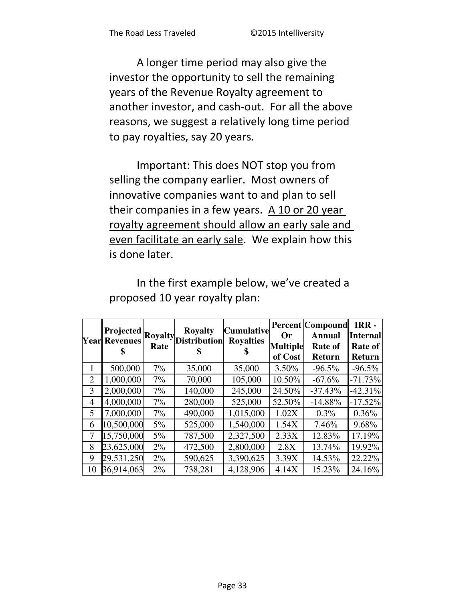A longer time period may also give the investor the opportunity to sell the remaining years of the Revenue Royalty agreement to another investor, and cash-out. For all the above reasons, we suggest a relatively long time period to pay royalties, say 20 years.

Important: This does NOT stop you from selling the company earlier. Most owners of innovative companies want to and plan to sell their companies in a few years. A 10 or 20 year royalty agreement should allow an early sale and even facilitate an early sale. We explain how this is done later.

|    | <b>Projected</b><br><b>Year Revenues</b> |       | <b>Royalty</b><br>Royalty Distribution | Cumulative<br><b>Royalties</b> | <b>Or</b><br><b>Multiple</b><br>of Cost | <b>Percent Compound</b><br><b>Annual</b><br><b>Rate of</b><br><b>Return</b> | IRR-<br><b>Internal</b><br><b>Rate of</b><br><b>Return</b> |
|----|------------------------------------------|-------|----------------------------------------|--------------------------------|-----------------------------------------|-----------------------------------------------------------------------------|------------------------------------------------------------|
| 1  | 500,000                                  | 7%    | 35,000                                 | 35,000                         | 3.50%                                   | $-96.5%$                                                                    | $-96.5%$                                                   |
| 2  | 1,000,000                                | 7%    | 70,000                                 | 105,000                        | 10.50%                                  | $-67.6%$                                                                    | $-71.73%$                                                  |
| 3  | 2,000,000                                | 7%    | 140,000                                | 245,000                        | 24.50%                                  | $-37.43%$                                                                   | $-42.31%$                                                  |
| 4  | 4,000,000                                | 7%    | 280,000                                | 525,000                        | 52.50%                                  | $-14.88%$                                                                   | $-17.52%$                                                  |
| 5  | 7,000,000                                | 7%    | 490,000                                | 1,015,000                      | 1.02X                                   | $0.3\%$                                                                     | 0.36%                                                      |
| 6  | 10,500,000                               | $5\%$ | 525,000                                | 1,540,000                      | 1.54X                                   | 7.46%                                                                       | 9.68%                                                      |
| 7  | 15,750,000                               | $5\%$ | 787,500                                | 2,327,500                      | 2.33X                                   | 12.83%                                                                      | 17.19%                                                     |
| 8  | 23,625,000                               | $2\%$ | 472,500                                | 2,800,000                      | 2.8X                                    | 13.74%                                                                      | 19.92%                                                     |
| 9  | 29,531,250                               | 2%    | 590,625                                | 3,390,625                      | 3.39X                                   | 14.53%                                                                      | 22.22%                                                     |
| 10 | 36,914,063                               | $2\%$ | 738,281                                | 4,128,906                      | 4.14X                                   | 15.23%                                                                      | 24.16%                                                     |

In the first example below, we've created a proposed 10 year royalty plan: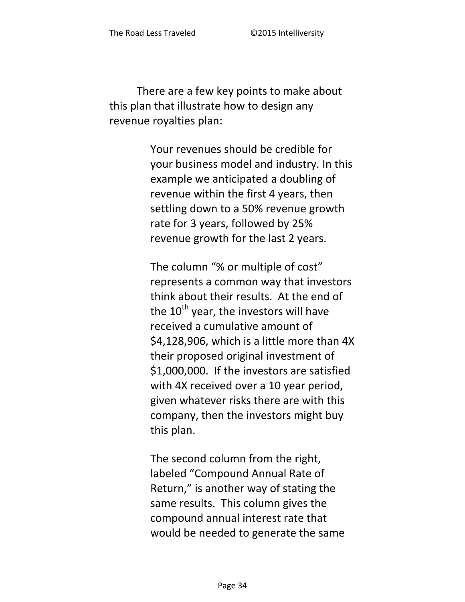There are a few key points to make about this plan that illustrate how to design any revenue royalties plan:

> Your revenues should be credible for your business model and industry. In this example we anticipated a doubling of revenue within the first 4 years, then settling down to a 50% revenue growth rate for 3 years, followed by 25% revenue growth for the last 2 years.

The column "% or multiple of cost" represents a common way that investors think about their results. At the end of the  $10^{th}$  year, the investors will have received a cumulative amount of \$4,128,906, which is a little more than 4X their proposed original investment of \$1,000,000. If the investors are satisfied with 4X received over a 10 year period, given whatever risks there are with this company, then the investors might buy this plan.

The second column from the right, labeled "Compound Annual Rate of Return," is another way of stating the same results. This column gives the compound annual interest rate that would be needed to generate the same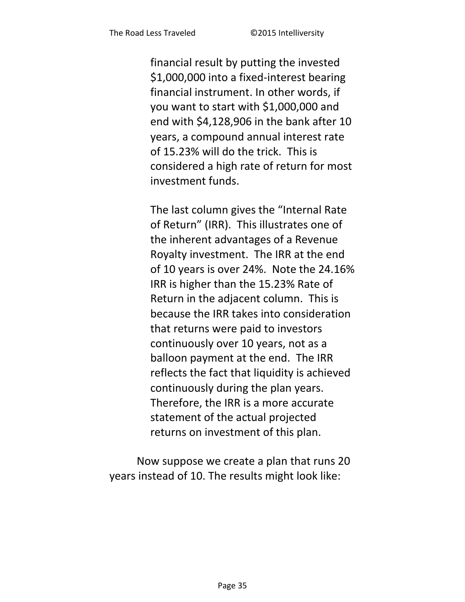financial result by putting the invested \$1,000,000 into a fixed-interest bearing financial instrument. In other words, if you want to start with \$1,000,000 and end with \$4,128,906 in the bank after 10 years, a compound annual interest rate of 15.23% will do the trick. This is considered a high rate of return for most investment funds.

The last column gives the "Internal Rate of Return" (IRR). This illustrates one of the inherent advantages of a Revenue Royalty investment. The IRR at the end of 10 years is over 24%. Note the 24.16% IRR is higher than the 15.23% Rate of Return in the adjacent column. This is because the IRR takes into consideration that returns were paid to investors continuously over 10 years, not as a balloon payment at the end. The IRR reflects the fact that liquidity is achieved continuously during the plan years. Therefore, the IRR is a more accurate statement of the actual projected returns on investment of this plan.

Now suppose we create a plan that runs 20 years instead of 10. The results might look like: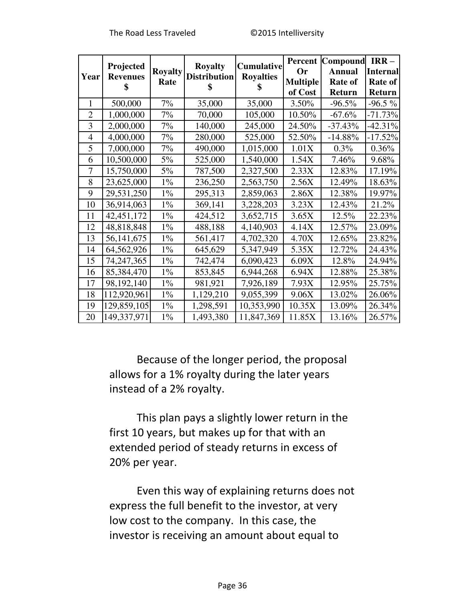|                | Projected       |                | <b>Royalty</b>      | Cumulative       | Percent         | Compound      | $IRR-$          |
|----------------|-----------------|----------------|---------------------|------------------|-----------------|---------------|-----------------|
| Year           | <b>Revenues</b> | <b>Royalty</b> | <b>Distribution</b> | <b>Royalties</b> | Or              | <b>Annual</b> | <b>Internal</b> |
|                | \$              | Rate           |                     |                  | <b>Multiple</b> | Rate of       | Rate of         |
|                |                 |                |                     |                  | of Cost         | Return        | Return          |
| 1              | 500,000         | 7%             | 35,000              | 35,000           | $3.50\%$        | $-96.5\%$     | $-96.5\%$       |
| $\overline{2}$ | 1,000,000       | 7%             | 70,000              | 105,000          | 10.50%          | $-67.6%$      | $-71.73%$       |
| 3              | 2,000,000       | 7%             | 140,000             | 245,000          | 24.50%          | $-37.43%$     | $-42.31%$       |
| $\overline{4}$ | 4,000,000       | 7%             | 280,000             | 525,000          | 52.50%          | $-14.88%$     | $-17.52%$       |
| 5              | 7,000,000       | 7%             | 490,000             | 1,015,000        | 1.01X           | $0.3\%$       | 0.36%           |
| 6              | 10,500,000      | $5\%$          | 525,000             | 1,540,000        | 1.54X           | 7.46%         | 9.68%           |
| 7              | 15,750,000      | $5\%$          | 787,500             | 2,327,500        | 2.33X           | 12.83%        | 17.19%          |
| 8              | 23,625,000      | $1\%$          | 236,250             | 2,563,750        | 2.56X           | 12.49%        | 18.63%          |
| 9              | 29,531,250      | $1\%$          | 295,313             | 2,859,063        | 2.86X           | 12.38%        | 19.97%          |
| 10             | 36,914,063      | $1\%$          | 369,141             | 3,228,203        | 3.23X           | 12.43%        | 21.2%           |
| 11             | 42, 451, 172    | $1\%$          | 424,512             | 3,652,715        | 3.65X           | 12.5%         | 22.23%          |
| 12             | 48,818,848      | $1\%$          | 488,188             | 4,140,903        | 4.14X           | 12.57%        | 23.09%          |
| 13             | 56, 141, 675    | $1\%$          | 561,417             | 4,702,320        | 4.70X           | 12.65%        | 23.82%          |
| 14             | 64,562,926      | $1\%$          | 645,629             | 5,347,949        | 5.35X           | 12.72%        | 24.43%          |
| 15             | 74,247,365      | $1\%$          | 742,474             | 6,090,423        | 6.09X           | 12.8%         | 24.94%          |
| 16             | 85,384,470      | $1\%$          | 853,845             | 6,944,268        | 6.94X           | 12.88%        | 25.38%          |
| 17             | 98,192,140      | $1\%$          | 981,921             | 7,926,189        | 7.93X           | 12.95%        | 25.75%          |
| 18             | 112,920,961     | $1\%$          | 1,129,210           | 9,055,399        | 9.06X           | 13.02%        | 26.06%          |
| 19             | 129,859,105     | $1\%$          | 1,298,591           | 10,353,990       | 10.35X          | 13.09%        | 26.34%          |
| 20             | 149,337,971     | $1\%$          | 1,493,380           | 11,847,369       | 11.85X          | 13.16%        | 26.57%          |

Because of the longer period, the proposal allows for a 1% royalty during the later years instead of a 2% royalty.

This plan pays a slightly lower return in the first 10 years, but makes up for that with an extended period of steady returns in excess of 20% per year.

Even this way of explaining returns does not express the full benefit to the investor, at very low cost to the company. In this case, the investor is receiving an amount about equal to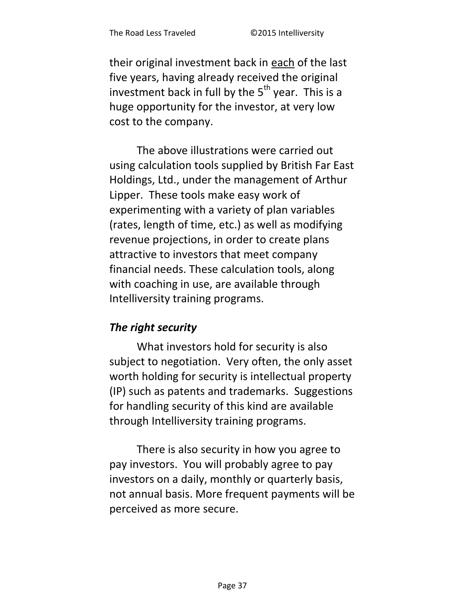their original investment back in each of the last five years, having already received the original investment back in full by the  $5<sup>th</sup>$  year. This is a huge opportunity for the investor, at very low cost to the company.

The above illustrations were carried out using calculation tools supplied by British Far East Holdings, Ltd., under the management of Arthur Lipper. These tools make easy work of experimenting with a variety of plan variables (rates, length of time, etc.) as well as modifying revenue projections, in order to create plans attractive to investors that meet company financial needs. These calculation tools, along with coaching in use, are available through Intelliversity training programs.

# *The right security*

What investors hold for security is also subject to negotiation. Very often, the only asset worth holding for security is intellectual property (IP) such as patents and trademarks. Suggestions for handling security of this kind are available through Intelliversity training programs.

There is also security in how you agree to pay investors. You will probably agree to pay investors on a daily, monthly or quarterly basis, not annual basis. More frequent payments will be perceived as more secure.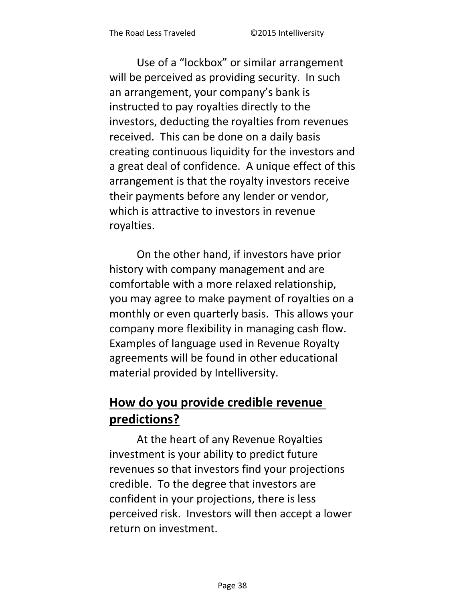Use of a "lockbox" or similar arrangement will be perceived as providing security. In such an arrangement, your company's bank is instructed to pay royalties directly to the investors, deducting the royalties from revenues received. This can be done on a daily basis creating continuous liquidity for the investors and a great deal of confidence. A unique effect of this arrangement is that the royalty investors receive their payments before any lender or vendor, which is attractive to investors in revenue royalties.

On the other hand, if investors have prior history with company management and are comfortable with a more relaxed relationship, you may agree to make payment of royalties on a monthly or even quarterly basis. This allows your company more flexibility in managing cash flow. Examples of language used in Revenue Royalty agreements will be found in other educational material provided by Intelliversity.

# **How do you provide credible revenue predictions?**

At the heart of any Revenue Royalties investment is your ability to predict future revenues so that investors find your projections credible. To the degree that investors are confident in your projections, there is less perceived risk. Investors will then accept a lower return on investment.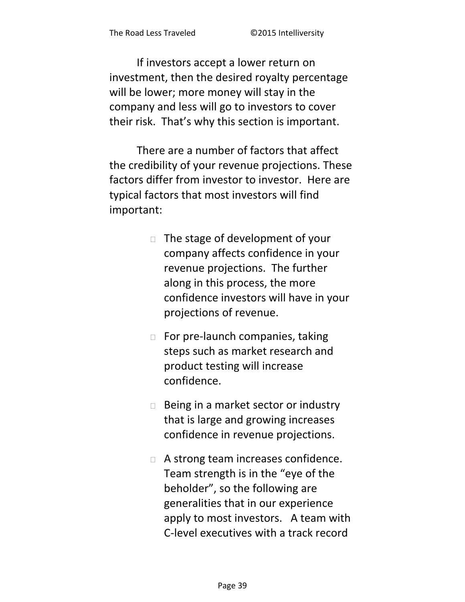If investors accept a lower return on investment, then the desired royalty percentage will be lower; more money will stay in the company and less will go to investors to cover their risk. That's why this section is important.

There are a number of factors that affect the credibility of your revenue projections. These factors differ from investor to investor. Here are typical factors that most investors will find important:

- $\Box$  The stage of development of your company affects confidence in your revenue projections. The further along in this process, the more confidence investors will have in your projections of revenue.
- $\Box$  For pre-launch companies, taking steps such as market research and product testing will increase confidence.
- $\Box$  Being in a market sector or industry that is large and growing increases confidence in revenue projections.
- □ A strong team increases confidence. Team strength is in the "eye of the beholder", so the following are generalities that in our experience apply to most investors. A team with C-level executives with a track record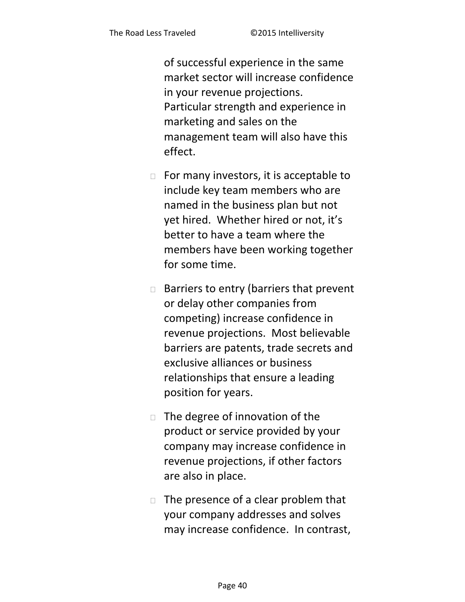of successful experience in the same market sector will increase confidence in your revenue projections. Particular strength and experience in marketing and sales on the management team will also have this effect.

- $\Box$  For many investors, it is acceptable to include key team members who are named in the business plan but not yet hired. Whether hired or not, it's better to have a team where the members have been working together for some time.
- $\Box$  Barriers to entry (barriers that prevent or delay other companies from competing) increase confidence in revenue projections. Most believable barriers are patents, trade secrets and exclusive alliances or business relationships that ensure a leading position for years.
- $\Box$  The degree of innovation of the product or service provided by your company may increase confidence in revenue projections, if other factors are also in place.
- $\Box$  The presence of a clear problem that your company addresses and solves may increase confidence. In contrast,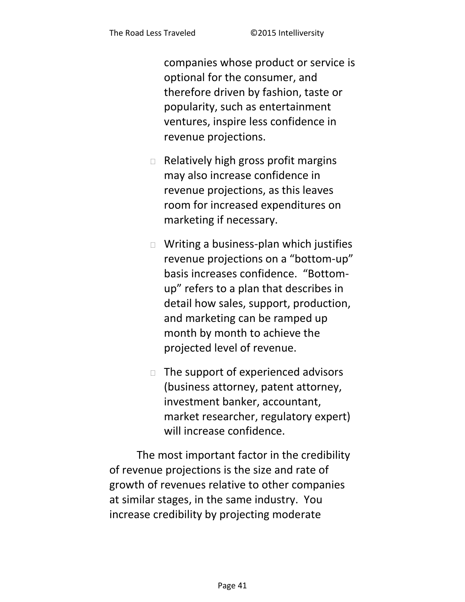companies whose product or service is optional for the consumer, and therefore driven by fashion, taste or popularity, such as entertainment ventures, inspire less confidence in revenue projections.

- $\Box$  Relatively high gross profit margins may also increase confidence in revenue projections, as this leaves room for increased expenditures on marketing if necessary.
- $\Box$  Writing a business-plan which justifies revenue projections on a "bottom-up" basis increases confidence. "Bottomup" refers to a plan that describes in detail how sales, support, production, and marketing can be ramped up month by month to achieve the projected level of revenue.
- $\Box$  The support of experienced advisors (business attorney, patent attorney, investment banker, accountant, market researcher, regulatory expert) will increase confidence.

The most important factor in the credibility of revenue projections is the size and rate of growth of revenues relative to other companies at similar stages, in the same industry. You increase credibility by projecting moderate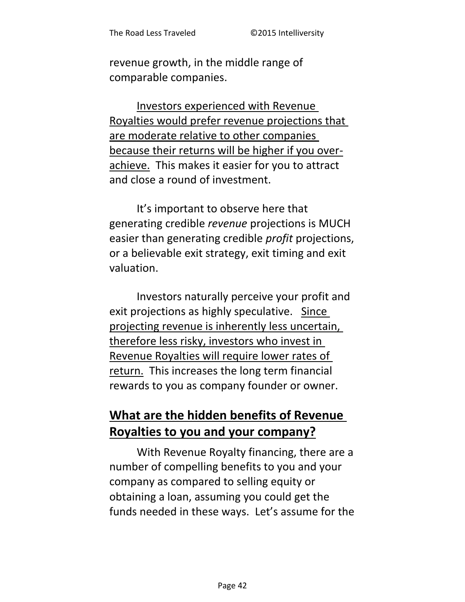revenue growth, in the middle range of comparable companies.

Investors experienced with Revenue Royalties would prefer revenue projections that are moderate relative to other companies because their returns will be higher if you overachieve. This makes it easier for you to attract and close a round of investment.

It's important to observe here that generating credible revenue projections is MUCH easier than generating credible *profit* projections, or a believable exit strategy, exit timing and exit valuation.

Investors naturally perceive your profit and exit projections as highly speculative. Since projecting revenue is inherently less uncertain, therefore less risky, investors who invest in Revenue Royalties will require lower rates of return. This increases the long term financial rewards to you as company founder or owner.

# What are the hidden benefits of Revenue Royalties to you and your company?

With Revenue Royalty financing, there are a number of compelling benefits to you and your company as compared to selling equity or obtaining a loan, assuming you could get the funds needed in these ways. Let's assume for the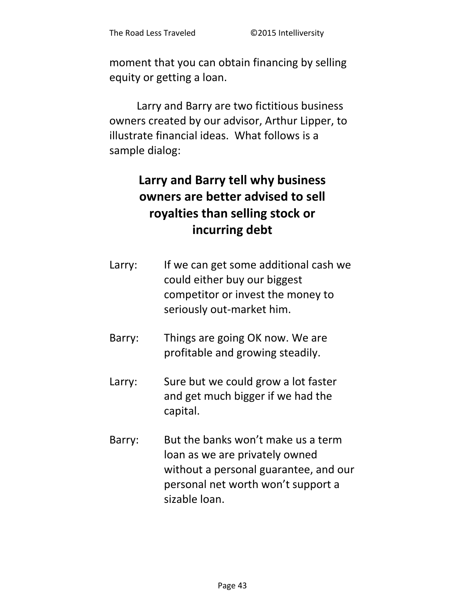moment that you can obtain financing by selling equity or getting a loan.

Larry and Barry are two fictitious business owners created by our advisor, Arthur Lipper, to illustrate financial ideas. What follows is a sample dialog:

# **Larry and Barry tell why business owners are better advised to sell royalties than selling stock or incurring debt**

| Larry: | If we can get some additional cash we |
|--------|---------------------------------------|
|        | could either buy our biggest          |
|        | competitor or invest the money to     |
|        | seriously out-market him.             |

- Barry: Things are going OK now. We are profitable and growing steadily.
- Larry: Sure but we could grow a lot faster and get much bigger if we had the capital.
- Barry: But the banks won't make us a term loan as we are privately owned without a personal guarantee, and our personal net worth won't support a sizable loan.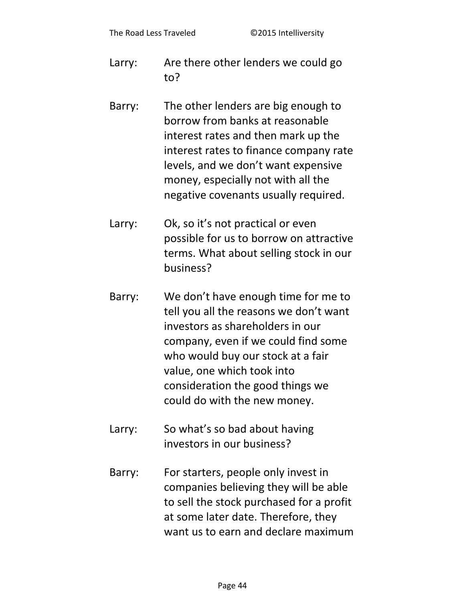- Are there other lenders we could go Larry:  $to?$
- The other lenders are big enough to Barry: borrow from banks at reasonable interest rates and then mark up the interest rates to finance company rate levels, and we don't want expensive money, especially not with all the negative covenants usually required.
- Ok, so it's not practical or even Larry: possible for us to borrow on attractive terms. What about selling stock in our business?
- We don't have enough time for me to Barry: tell you all the reasons we don't want investors as shareholders in our company, even if we could find some who would buy our stock at a fair value, one which took into consideration the good things we could do with the new money.
- So what's so bad about having Larry: investors in our business?
- Barry: For starters, people only invest in companies believing they will be able to sell the stock purchased for a profit at some later date. Therefore, they want us to earn and declare maximum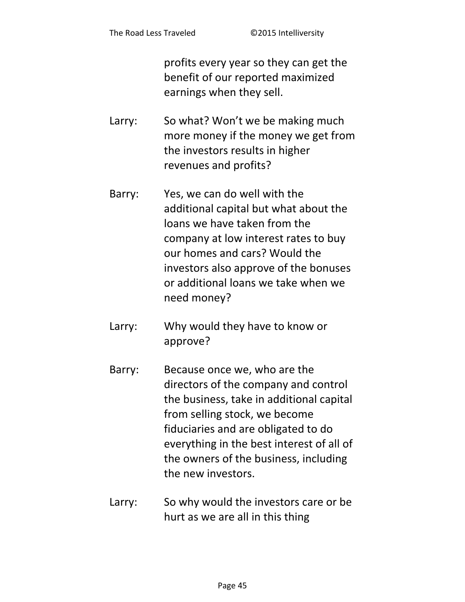profits every year so they can get the benefit of our reported maximized earnings when they sell.

- So what? Won't we be making much Larry: more money if the money we get from the investors results in higher revenues and profits?
- Yes, we can do well with the Barry: additional capital but what about the loans we have taken from the company at low interest rates to buy our homes and cars? Would the investors also approve of the bonuses or additional loans we take when we need money?
- Why would they have to know or Larry: approve?
- Barry: Because once we, who are the directors of the company and control the business, take in additional capital from selling stock, we become fiduciaries and are obligated to do everything in the best interest of all of the owners of the business, including the new investors.
- So why would the investors care or be Larry: hurt as we are all in this thing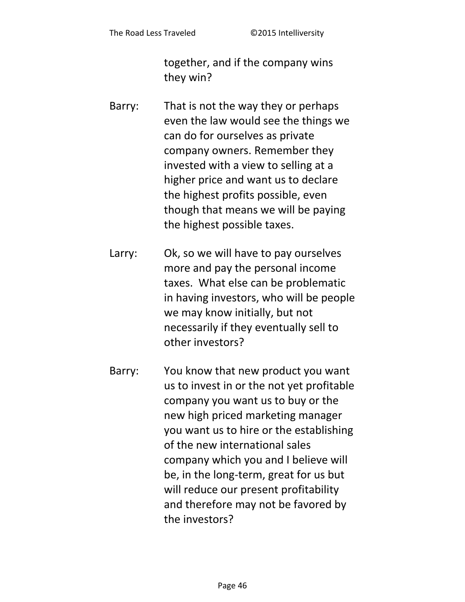together, and if the company wins they win?

- Barry: That is not the way they or perhaps even the law would see the things we can do for ourselves as private company owners. Remember they invested with a view to selling at a higher price and want us to declare the highest profits possible, even though that means we will be paying the highest possible taxes.
- Larry: Ok, so we will have to pay ourselves more and pay the personal income taxes. What else can be problematic in having investors, who will be people we may know initially, but not necessarily if they eventually sell to other investors?
- Barry: You know that new product you want us to invest in or the not yet profitable company you want us to buy or the new high priced marketing manager you want us to hire or the establishing of the new international sales company which you and I believe will be, in the long-term, great for us but will reduce our present profitability and therefore may not be favored by the investors?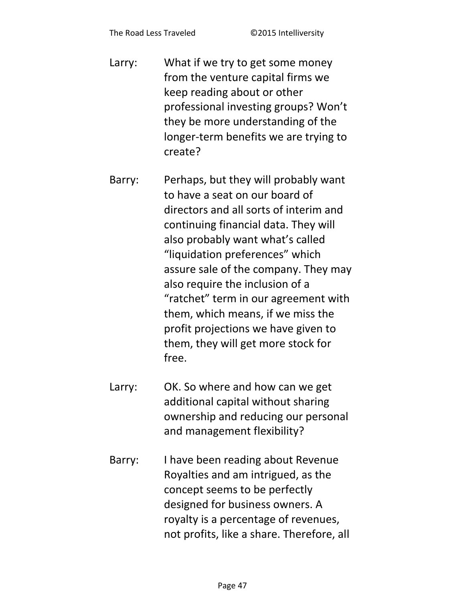- Larry: What if we try to get some money from the venture capital firms we keep reading about or other professional investing groups? Won't they be more understanding of the longer-term benefits we are trying to create?
- Barry: Perhaps, but they will probably want to have a seat on our board of directors and all sorts of interim and continuing financial data. They will also probably want what's called "liquidation preferences" which assure sale of the company. They may also require the inclusion of a "ratchet" term in our agreement with them, which means, if we miss the profit projections we have given to them, they will get more stock for free.
- Larry: OK. So where and how can we get additional capital without sharing ownership and reducing our personal and management flexibility?
- Barry: I have been reading about Revenue Royalties and am intrigued, as the concept seems to be perfectly designed for business owners. A royalty is a percentage of revenues, not profits, like a share. Therefore, all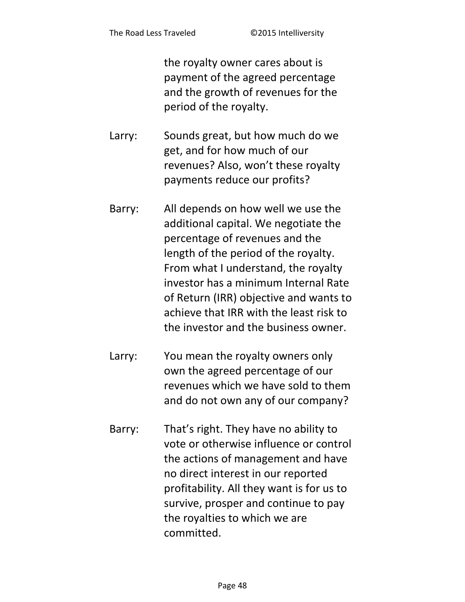the royalty owner cares about is payment of the agreed percentage and the growth of revenues for the period of the royalty.

- Larry: Sounds great, but how much do we get, and for how much of our revenues? Also, won't these royalty payments reduce our profits?
- Barry: All depends on how well we use the additional capital. We negotiate the percentage of revenues and the length of the period of the royalty. From what I understand, the royalty investor has a minimum Internal Rate of Return (IRR) objective and wants to achieve that IRR with the least risk to the investor and the business owner.
- Larry: You mean the royalty owners only own the agreed percentage of our revenues which we have sold to them and do not own any of our company?
- Barry: That's right. They have no ability to vote or otherwise influence or control the actions of management and have no direct interest in our reported profitability. All they want is for us to survive, prosper and continue to pay the royalties to which we are committed.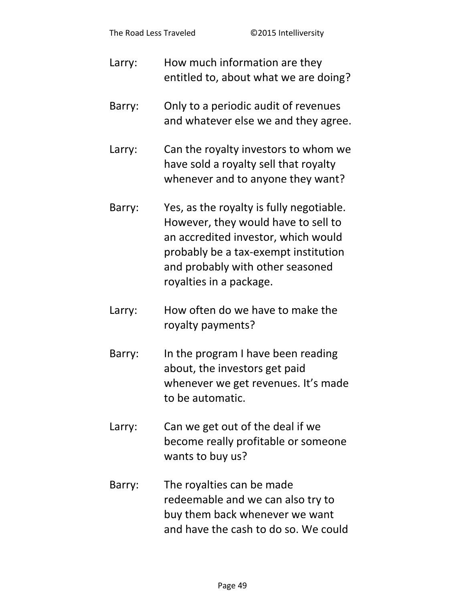| Larry: | How much information are they<br>entitled to, about what we are doing?                                                                                                                                                        |
|--------|-------------------------------------------------------------------------------------------------------------------------------------------------------------------------------------------------------------------------------|
| Barry: | Only to a periodic audit of revenues<br>and whatever else we and they agree.                                                                                                                                                  |
| Larry: | Can the royalty investors to whom we<br>have sold a royalty sell that royalty<br>whenever and to anyone they want?                                                                                                            |
| Barry: | Yes, as the royalty is fully negotiable.<br>However, they would have to sell to<br>an accredited investor, which would<br>probably be a tax-exempt institution<br>and probably with other seasoned<br>royalties in a package. |
| Larry: | How often do we have to make the<br>royalty payments?                                                                                                                                                                         |
| Barry: | In the program I have been reading<br>about, the investors get paid                                                                                                                                                           |

- whenever we get revenues. It's made to be automatic.
- Larry: Can we get out of the deal if we become really profitable or someone wants to buy us?
- Barry: The royalties can be made redeemable and we can also try to buy them back whenever we want and have the cash to do so. We could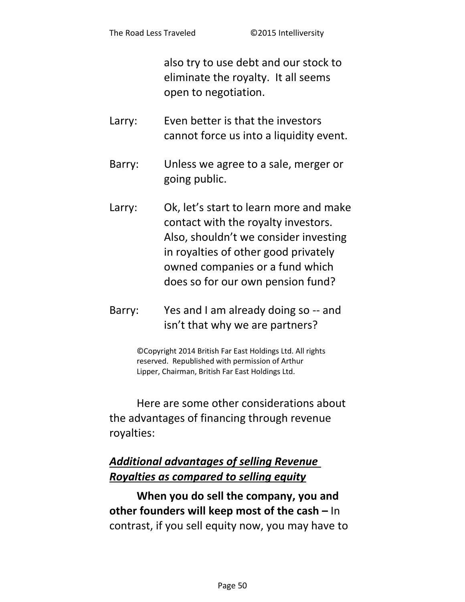also try to use debt and our stock to eliminate the royalty. It all seems open to negotiation.

- Larry: Even better is that the investors cannot force us into a liquidity event.
- Barry: Unless we agree to a sale, merger or going public.
- Larry: Ok, let's start to learn more and make contact with the royalty investors. Also, shouldn't we consider investing in royalties of other good privately owned companies or a fund which does so for our own pension fund?
- Barry: Yes and I am already doing so -- and isn't that why we are partners?

©Copyright 2014 British Far East Holdings Ltd. All rights reserved. Republished with permission of Arthur Lipper, Chairman, British Far East Holdings Ltd.

Here are some other considerations about the advantages of financing through revenue royalties:

# *Additional advantages of selling Revenue Royalties as compared to selling equity*

**When you do sell the company, you and other founders will keep most of the cash –** In contrast, if you sell equity now, you may have to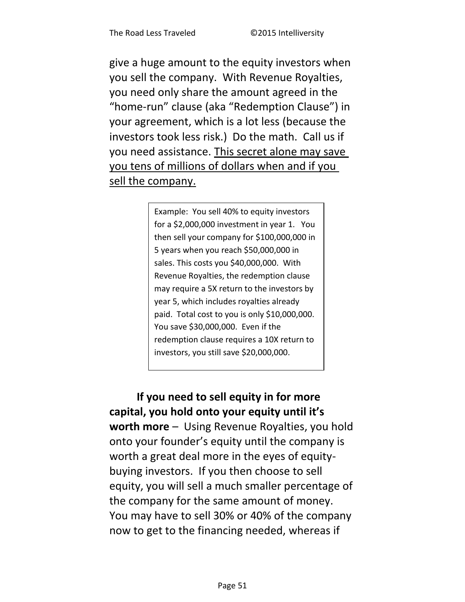give a huge amount to the equity investors when you sell the company. With Revenue Royalties, you need only share the amount agreed in the "home-run" clause (aka "Redemption Clause") in your agreement, which is a lot less (because the investors took less risk.) Do the math. Call us if you need assistance. This secret alone may save you tens of millions of dollars when and if you sell the company.

> Example: You sell 40% to equity investors for a \$2,000,000 investment in year 1. You then sell your company for \$100,000,000 in 5 years when you reach \$50,000,000 in sales. This costs you \$40,000,000. With Revenue Royalties, the redemption clause may require a 5X return to the investors by year 5, which includes royalties already paid. Total cost to you is only \$10,000,000. You save \$30,000,000. Even if the redemption clause requires a 10X return to investors, you still save \$20,000,000.

**If you need to sell equity in for more**  capital, you hold onto your equity until it's **worth more** – Using Revenue Royalties, you hold onto your founder's equity until the company is worth a great deal more in the eyes of equitybuying investors. If you then choose to sell equity, you will sell a much smaller percentage of the company for the same amount of money. You may have to sell 30% or 40% of the company now to get to the financing needed, whereas if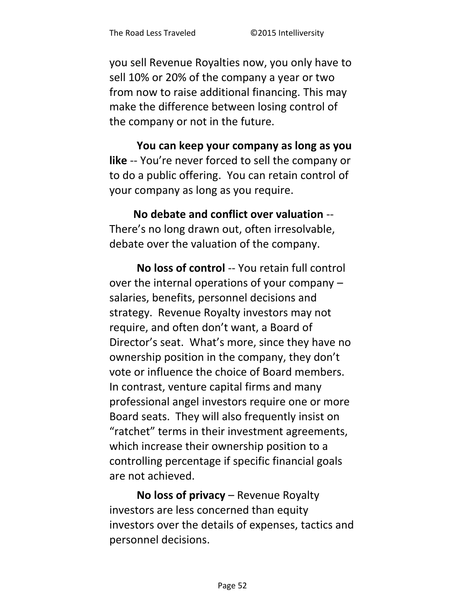you sell Revenue Royalties now, you only have to sell 10% or 20% of the company a year or two from now to raise additional financing. This may make the difference between losing control of the company or not in the future.

**You can keep your company as long as you**  like -- You're never forced to sell the company or to do a public offering. You can retain control of your company as long as you require.

**No debate and conflict over valuation** -- There's no long drawn out, often irresolvable, debate over the valuation of the company.

**No loss of control** -- You retain full control over the internal operations of your company – salaries, benefits, personnel decisions and strategy. Revenue Royalty investors may not require, and often don't want, a Board of Director's seat. What's more, since they have no ownership position in the company, they don't vote or influence the choice of Board members. In contrast, venture capital firms and many professional angel investors require one or more Board seats. They will also frequently insist on "ratchet" terms in their investment agreements, which increase their ownership position to a controlling percentage if specific financial goals are not achieved.

**No loss of privacy** – Revenue Royalty investors are less concerned than equity investors over the details of expenses, tactics and personnel decisions.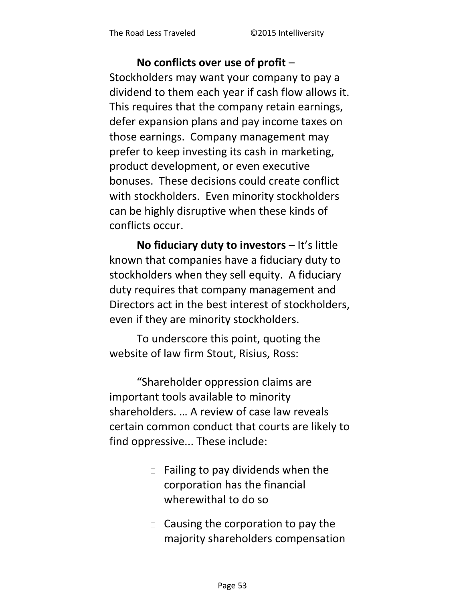#### **No conflicts over use of profit** –

Stockholders may want your company to pay a dividend to them each year if cash flow allows it. This requires that the company retain earnings, defer expansion plans and pay income taxes on those earnings. Company management may prefer to keep investing its cash in marketing, product development, or even executive bonuses. These decisions could create conflict with stockholders. Even minority stockholders can be highly disruptive when these kinds of conflicts occur.

**No fiduciary duty to investors** – It's little known that companies have a fiduciary duty to stockholders when they sell equity. A fiduciary duty requires that company management and Directors act in the best interest of stockholders, even if they are minority stockholders.

To underscore this point, quoting the website of law firm Stout, Risius, Ross:

͞Shareholder oppression claims are important tools available to minority shareholders. ... A review of case law reveals certain common conduct that courts are likely to find oppressive... These include:

- $\Box$  Failing to pay dividends when the corporation has the financial wherewithal to do so
- $\Box$  Causing the corporation to pay the majority shareholders compensation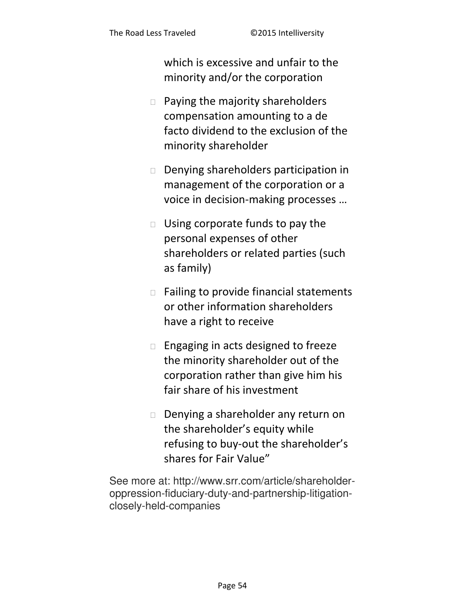which is excessive and unfair to the minority and/or the corporation

- $\Box$  Paying the majority shareholders compensation amounting to a de facto dividend to the exclusion of the minority shareholder
- Denying shareholders participation in management of the corporation or a voice in decision-making processes ...
- $\Box$  Using corporate funds to pay the personal expenses of other shareholders or related parties (such as family)
- $\Box$  Failing to provide financial statements or other information shareholders have a right to receive
- $\square$  Engaging in acts designed to freeze the minority shareholder out of the corporation rather than give him his fair share of his investment
- Denying a shareholder any return on the shareholder's equity while refusing to buy-out the shareholder's shares for Fair Value"

See more at: http://www.srr.com/article/shareholderoppression-fiduciary-duty-and-partnership-litigationclosely-held-companies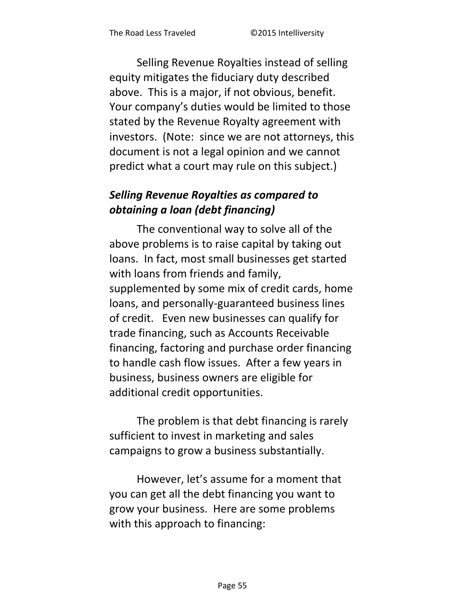Selling Revenue Royalties instead of selling equity mitigates the fiduciary duty described above. This is a major, if not obvious, benefit. Your company's duties would be limited to those stated by the Revenue Royalty agreement with investors. (Note: since we are not attorneys, this document is not a legal opinion and we cannot predict what a court may rule on this subject.)

# **Selling Revenue Royalties as compared to** obtaining a loan (debt financing)

The conventional way to solve all of the above problems is to raise capital by taking out loans. In fact, most small businesses get started with loans from friends and family, supplemented by some mix of credit cards, home loans, and personally-guaranteed business lines of credit. Even new businesses can qualify for trade financing, such as Accounts Receivable financing, factoring and purchase order financing to handle cash flow issues. After a few years in business, business owners are eligible for additional credit opportunities.

The problem is that debt financing is rarely sufficient to invest in marketing and sales campaigns to grow a business substantially.

However, let's assume for a moment that you can get all the debt financing you want to grow your business. Here are some problems with this approach to financing: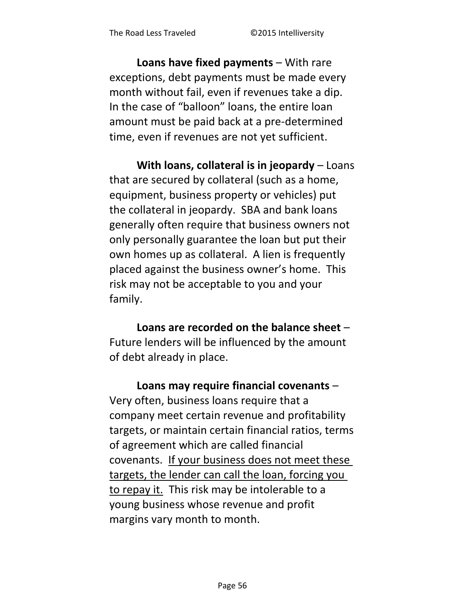**Loans have fixed payments** – With rare exceptions, debt payments must be made every month without fail, even if revenues take a dip. In the case of "balloon" loans, the entire loan amount must be paid back at a pre-determined time, even if revenues are not yet sufficient.

**With loans, collateral is in jeopardy** – Loans that are secured by collateral (such as a home, equipment, business property or vehicles) put the collateral in jeopardy. SBA and bank loans generally often require that business owners not only personally guarantee the loan but put their own homes up as collateral. A lien is frequently placed against the business owner's home. This risk may not be acceptable to you and your family.

**Loans are recorded on the balance sheet** – Future lenders will be influenced by the amount of debt already in place.

**Loans may require financial covenants** – Very often, business loans require that a company meet certain revenue and profitability targets, or maintain certain financial ratios, terms of agreement which are called financial covenants. If your business does not meet these targets, the lender can call the loan, forcing you to repay it. This risk may be intolerable to a young business whose revenue and profit margins vary month to month.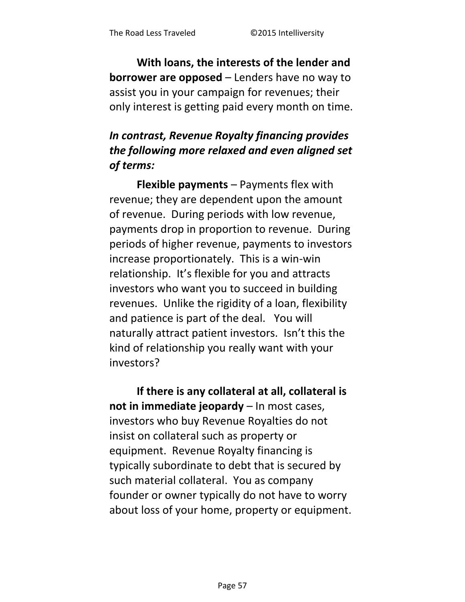With loans, the interests of the lender and **borrower are opposed** – Lenders have no way to assist you in your campaign for revenues; their only interest is getting paid every month on time.

# In contrast, Revenue Royalty financing provides the following more relaxed and even aligned set of terms:

**Flexible payments - Payments flex with** revenue; they are dependent upon the amount of revenue. During periods with low revenue, payments drop in proportion to revenue. During periods of higher revenue, payments to investors increase proportionately. This is a win-win relationship. It's flexible for you and attracts investors who want you to succeed in building revenues. Unlike the rigidity of a loan, flexibility and patience is part of the deal. You will naturally attract patient investors. Isn't this the kind of relationship you really want with your investors?

If there is any collateral at all, collateral is not in immediate jeopardy - In most cases, investors who buy Revenue Royalties do not insist on collateral such as property or equipment. Revenue Royalty financing is typically subordinate to debt that is secured by such material collateral. You as company founder or owner typically do not have to worry about loss of your home, property or equipment.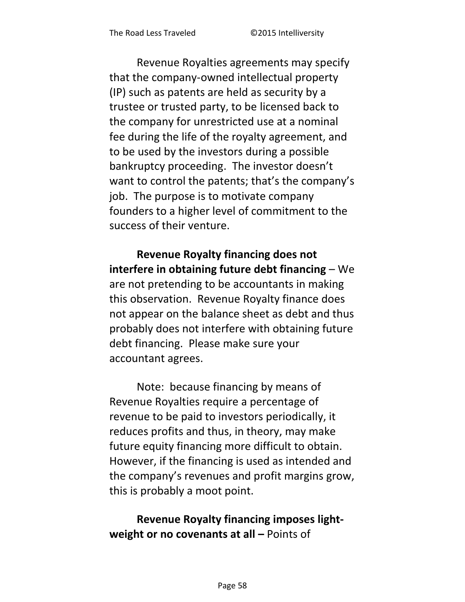Revenue Royalties agreements may specify that the company-owned intellectual property (IP) such as patents are held as security by a trustee or trusted party, to be licensed back to the company for unrestricted use at a nominal fee during the life of the royalty agreement, and to be used by the investors during a possible bankruptcy proceeding. The investor doesn't want to control the patents; that's the company's job. The purpose is to motivate company founders to a higher level of commitment to the success of their venture.

**Revenue Royalty financing does not interfere in obtaining future debt financing** – We are not pretending to be accountants in making this observation. Revenue Royalty finance does not appear on the balance sheet as debt and thus probably does not interfere with obtaining future debt financing. Please make sure your accountant agrees.

Note: because financing by means of Revenue Royalties require a percentage of revenue to be paid to investors periodically, it reduces profits and thus, in theory, may make future equity financing more difficult to obtain. However, if the financing is used as intended and the company's revenues and profit margins grow, this is probably a moot point.

### **Revenue Royalty financing imposes lightweight or no covenants at all – Points of**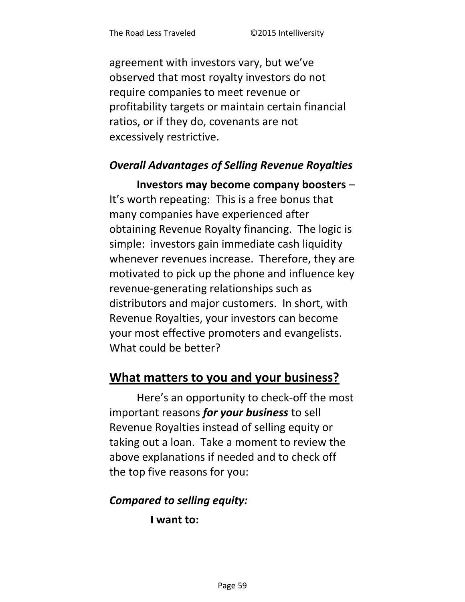<span id="page-58-0"></span>agreement with investors vary, but we've observed that most royalty investors do not require companies to meet revenue or profitability targets or maintain certain financial ratios, or if they do, covenants are not excessively restrictive.

#### **Overall Advantages of Selling Revenue Royalties**

Investors may become company boosters -It's worth repeating: This is a free bonus that many companies have experienced after obtaining Revenue Royalty financing. The logic is simple: investors gain immediate cash liquidity whenever revenues increase. Therefore, they are motivated to pick up the phone and influence key revenue-generating relationships such as distributors and major customers. In short, with Revenue Royalties, your investors can become your most effective promoters and evangelists. What could be better?

### What matters to you and your business?

Here's an opportunity to check-off the most important reasons for your business to sell Revenue Royalties instead of selling equity or taking out a loan. Take a moment to review the above explanations if needed and to check off the top five reasons for you:

#### **Compared to selling equity:**

I want to: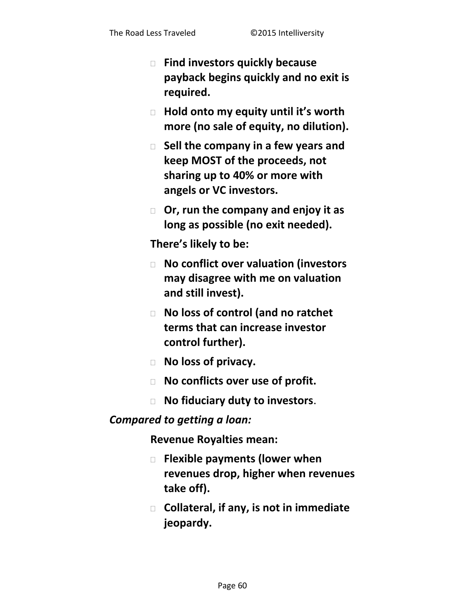- **Find investors quickly because payback begins quickly and no exit is required.**
- **Hold onto my eƋuity until it's woƌth more (no sale of equity, no dilution).**
- **Sell the company in a few years and keep MOST of the proceeds, not sharing up to 40% or more with angels or VC investors.**
- **Or, run the company and enjoy it as long as possible (no exit needed).**

**Theƌe's likely to be:**

- **No conflict over valuation (investors may disagree with me on valuation and still invest).**
- **No loss of control (and no ratchet terms that can increase investor control further).**
- **No loss of privacy.**
- **No conflicts over use of profit.**
- **No fiduciary duty to investors**.

#### *Compared to getting a loan:*

**Revenue Royalties mean:** 

- **Flexible payments (lower when revenues drop, higher when revenues take off).**
- **Collateral, if any, is not in immediate jeopardy.**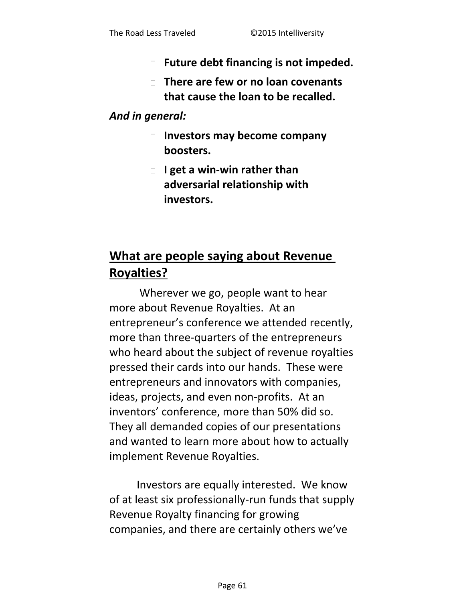- **Future debt financing is not impeded.**
- **There are few or no loan covenants that cause the loan to be recalled.**

#### *And in general:*

- **Investors may become company boosters.**
- **I get a win-win rather than adversarial relationship with investors.**

# **What are people saying about Revenue Royalties?**

 Wherever we go, people want to hear more about Revenue Royalties. At an entrepreneur's conference we attended recently, more than three-quarters of the entrepreneurs who heard about the subject of revenue royalties pressed their cards into our hands. These were entrepreneurs and innovators with companies, ideas, projects, and even non-profits. At an inventors' conference, more than 50% did so. They all demanded copies of our presentations and wanted to learn more about how to actually implement Revenue Royalties.

Investors are equally interested. We know of at least six professionally-run funds that supply Revenue Royalty financing for growing companies, and there are certainly others we've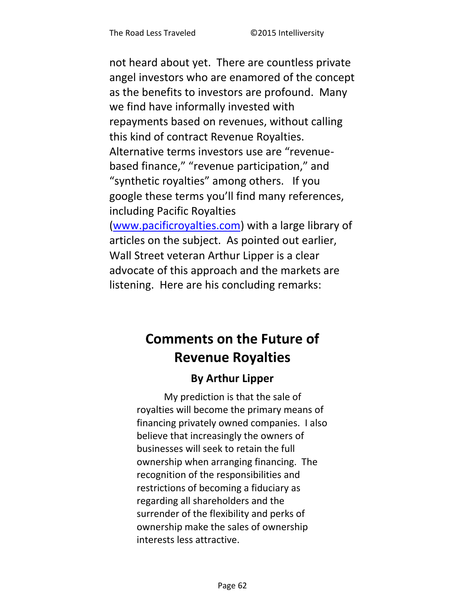not heard about yet. There are countless private angel investors who are enamored of the concept as the benefits to investors are profound. Many we find have informally invested with repayments based on revenues, without calling this kind of contract Revenue Royalties. Alternative terms investors use are "revenuebased finance," "revenue participation," and "synthetic royalties" among others. If you google these terms you'll find many references, including Pacific Royalties [\(www.pacificroyalties.com\)](http://www.pacificroyalties.com/) with a large library of articles on the subject. As pointed out earlier, Wall Street veteran Arthur Lipper is a clear advocate of this approach and the markets are listening. Here are his concluding remarks:

# **Comments on the Future of Revenue Royalties**

### **By Arthur Lipper**

My prediction is that the sale of royalties will become the primary means of financing privately owned companies. I also believe that increasingly the owners of businesses will seek to retain the full ownership when arranging financing. The recognition of the responsibilities and restrictions of becoming a fiduciary as regarding all shareholders and the surrender of the flexibility and perks of ownership make the sales of ownership interests less attractive.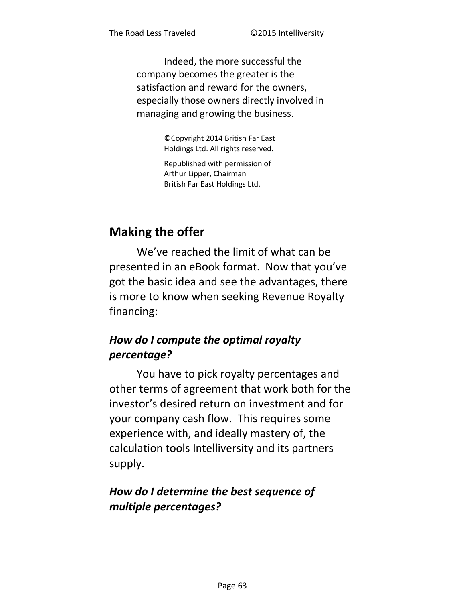Indeed, the more successful the company becomes the greater is the satisfaction and reward for the owners, especially those owners directly involved in managing and growing the business.

> ©Copyright 2014 British Far East Holdings Ltd. All rights reserved.

Republished with permission of Arthur Lipper, Chairman British Far East Holdings Ltd.

# <span id="page-62-0"></span>**Making the offer**

We've reached the limit of what can be presented in an eBook format. Now that you've got the basic idea and see the advantages, there is more to know when seeking Revenue Royalty financing:

# How do I compute the optimal royalty percentage?

You have to pick royalty percentages and other terms of agreement that work both for the investor's desired return on investment and for your company cash flow. This requires some experience with, and ideally mastery of, the calculation tools Intelliversity and its partners supply.

# How do I determine the best sequence of multiple percentages?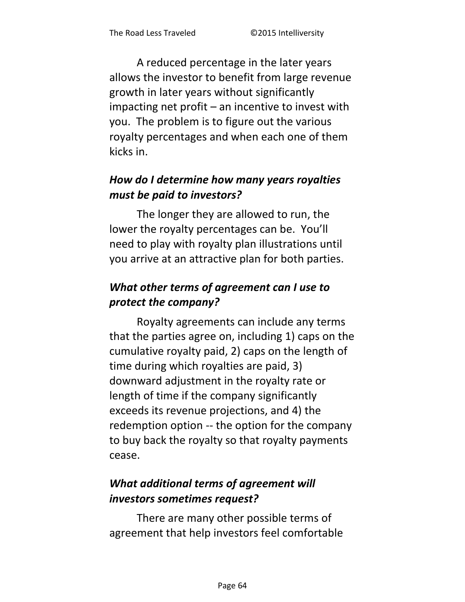A reduced percentage in the later years allows the investor to benefit from large revenue growth in later years without significantly impacting net profit – an incentive to invest with you. The problem is to figure out the various royalty percentages and when each one of them kicks in.

# *How do I determine how many years royalties must be paid to investors?*

The longer they are allowed to run, the lower the royalty percentages can be. You'll need to play with royalty plan illustrations until you arrive at an attractive plan for both parties.

# *What other terms of agreement can I use to protect the company?*

Royalty agreements can include any terms that the parties agree on, including 1) caps on the cumulative royalty paid, 2) caps on the length of time during which royalties are paid, 3) downward adjustment in the royalty rate or length of time if the company significantly exceeds its revenue projections, and 4) the redemption option -- the option for the company to buy back the royalty so that royalty payments cease.

# *What additional terms of agreement will investors sometimes request?*

There are many other possible terms of agreement that help investors feel comfortable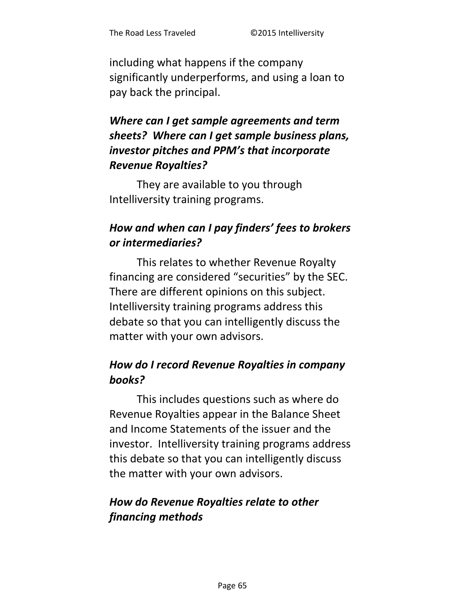including what happens if the company significantly underperforms, and using a loan to pay back the principal.

# Where can I get sample agreements and term sheets? Where can I get sample business plans, investor pitches and PPM's that incorporate **Revenue Royalties?**

They are available to you through Intelliversity training programs.

# How and when can I pay finders' fees to brokers or intermediaries?

This relates to whether Revenue Royalty financing are considered "securities" by the SEC. There are different opinions on this subject. Intelliversity training programs address this debate so that you can intelligently discuss the matter with your own advisors.

# How do I record Revenue Royalties in company books?

This includes questions such as where do Revenue Royalties appear in the Balance Sheet and Income Statements of the issuer and the investor. Intelliversity training programs address this debate so that you can intelligently discuss the matter with your own advisors.

### How do Revenue Royalties relate to other financing methods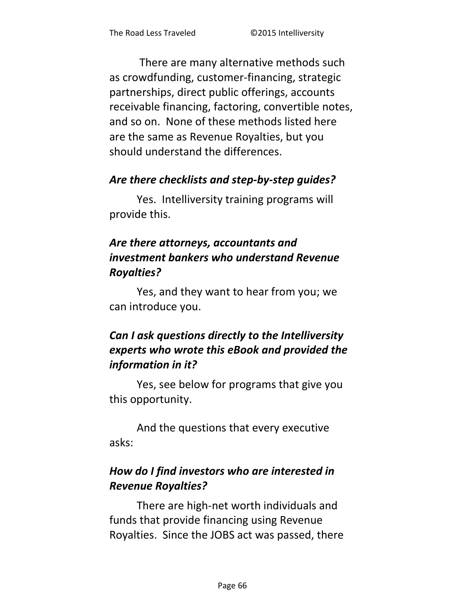There are many alternative methods such as crowdfunding, customer-financing, strategic partnerships, direct public offerings, accounts receivable financing, factoring, convertible notes, and so on. None of these methods listed here are the same as Revenue Royalties, but you should understand the differences.

#### *Are there checklists and step-by-step guides?*

Yes. Intelliversity training programs will provide this.

# *Are there attorneys, accountants and investment bankers who understand Revenue Royalties?*

Yes, and they want to hear from you; we can introduce you.

# *Can I ask questions directly to the Intelliversity experts who wrote this eBook and provided the information in it?*

Yes, see below for programs that give you this opportunity.

And the questions that every executive asks:

# *How do I find investors who are interested in Revenue Royalties?*

There are high-net worth individuals and funds that provide financing using Revenue Royalties. Since the JOBS act was passed, there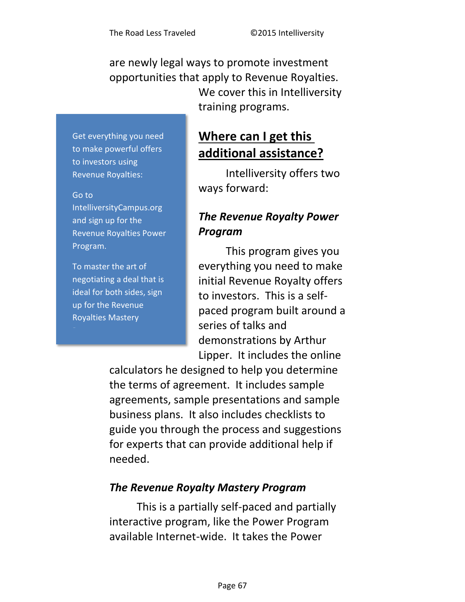are newly legal ways to promote investment opportunities that apply to Revenue Royalties. We cover this in Intelliversity training programs.

Get everything you need to make powerful offers to investors using Revenue Royalties:

#### Go to

IntelliversityCampus.org and sign up for the Revenue Royalties Power Program.

To master the art of negotiating a deal that is ideal for both sides, sign up for the Revenue Royalties Mastery

# **Where can I get this additional assistance?**

Intelliversity offers two ways forward:

# *The Revenue Royalty Power Program*

This program gives you everything you need to make initial Revenue Royalty offers to investors. This is a selfpaced program built around a series of talks and demonstrations by Arthur Lipper. It includes the online

calculators he designed to help you determine the terms of agreement. It includes sample agreements, sample presentations and sample business plans. It also includes checklists to guide you through the process and suggestions for experts that can provide additional help if needed.

#### *The Revenue Royalty Mastery Program*

This is a partially self-paced and partially interactive program, like the Power Program available Internet-wide. It takes the Power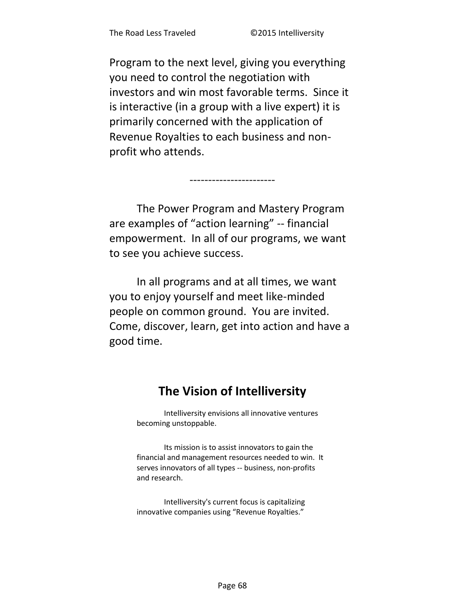Program to the next level, giving you everything you need to control the negotiation with investors and win most favorable terms. Since it is interactive (in a group with a live expert) it is primarily concerned with the application of Revenue Royalties to each business and nonprofit who attends.

The Power Program and Mastery Program are examples of "action learning" -- financial empowerment. In all of our programs, we want to see you achieve success.

In all programs and at all times, we want you to enjoy yourself and meet like-minded people on common ground. You are invited. Come, discover, learn, get into action and have a good time.

# The Vision of Intelliversity

Intelliversity envisions all innovative ventures becoming unstoppable.

Its mission is to assist innovators to gain the financial and management resources needed to win. It serves innovators of all types -- business, non-profits and research.

Intelliversity's current focus is capitalizing innovative companies using "Revenue Royalties."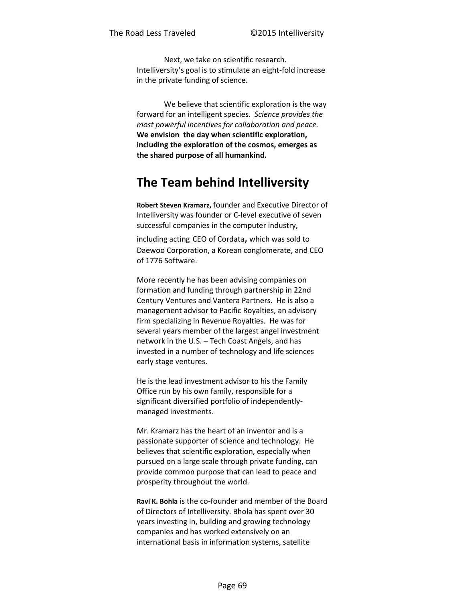Next, we take on scientific research. Intelliversity's goal is to stimulate an eight-fold increase in the private funding of science.

We believe that scientific exploration is the way forward for an intelligent species. *Science provides the most powerful incentives for collaboration and peace.* **We envision the day when scientific exploration, including the exploration of the cosmos, emerges as the shared purpose of all humankind.** 

# **The Team behind Intelliversity**

**Robert Steven Kramarz,** founder and Executive Director of Intelliversity was founder or C-level executive of seven successful companies in the computer industry,

including acting CEO of Cordata, which was sold to Daewoo Corporation, a Korean conglomerate, and CEO of 1776 Software.

More recently he has been advising companies on formation and funding through partnership in 22nd Century Ventures and Vantera Partners. He is also a management advisor to Pacific Royalties, an advisory firm specializing in Revenue Royalties. He was for several years member of the largest angel investment network in the U.S. – Tech Coast Angels, and has invested in a number of technology and life sciences early stage ventures.

He is the lead investment advisor to his the Family Office run by his own family, responsible for a significant diversified portfolio of independentlymanaged investments.

Mr. Kramarz has the heart of an inventor and is a passionate supporter of science and technology. He believes that scientific exploration, especially when pursued on a large scale through private funding, can provide common purpose that can lead to peace and prosperity throughout the world.

**Ravi K. Bohla** is the co-founder and member of the Board of Directors of Intelliversity. Bhola has spent over 30 years investing in, building and growing technology companies and has worked extensively on an international basis in information systems, satellite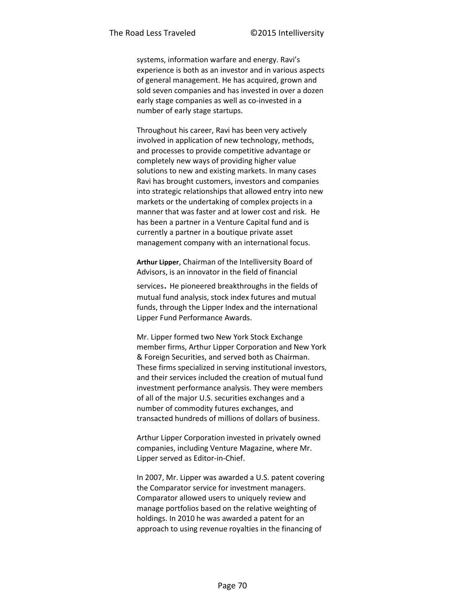systems, information warfare and energy. Ravi's experience is both as an investor and in various aspects of general management. He has acquired, grown and sold seven companies and has invested in over a dozen early stage companies as well as co-invested in a number of early stage startups.

Throughout his career, Ravi has been very actively involved in application of new technology, methods, and processes to provide competitive advantage or completely new ways of providing higher value solutions to new and existing markets. In many cases Ravi has brought customers, investors and companies into strategic relationships that allowed entry into new markets or the undertaking of complex projects in a manner that was faster and at lower cost and risk. He has been a partner in a Venture Capital fund and is currently a partner in a boutique private asset management company with an international focus.

**Arthur Lipper**, Chairman of the Intelliversity Board of Advisors, is an innovator in the field of financial

services. He pioneered breakthroughs in the fields of mutual fund analysis, stock index futures and mutual funds, through the Lipper Index and the international Lipper Fund Performance Awards.

Mr. Lipper formed two New York Stock Exchange member firms, Arthur Lipper Corporation and New York & Foreign Securities, and served both as Chairman. These firms specialized in serving institutional investors, and their services included the creation of mutual fund investment performance analysis. They were members of all of the major U.S. securities exchanges and a number of commodity futures exchanges, and transacted hundreds of millions of dollars of business.

Arthur Lipper Corporation invested in privately owned companies, including Venture Magazine, where Mr. Lipper served as Editor-in-Chief.

In 2007, Mr. Lipper was awarded a U.S. patent covering the Comparator service for investment managers. Comparator allowed users to uniquely review and manage portfolios based on the relative weighting of holdings. In 2010 he was awarded a patent for an approach to using revenue royalties in the financing of